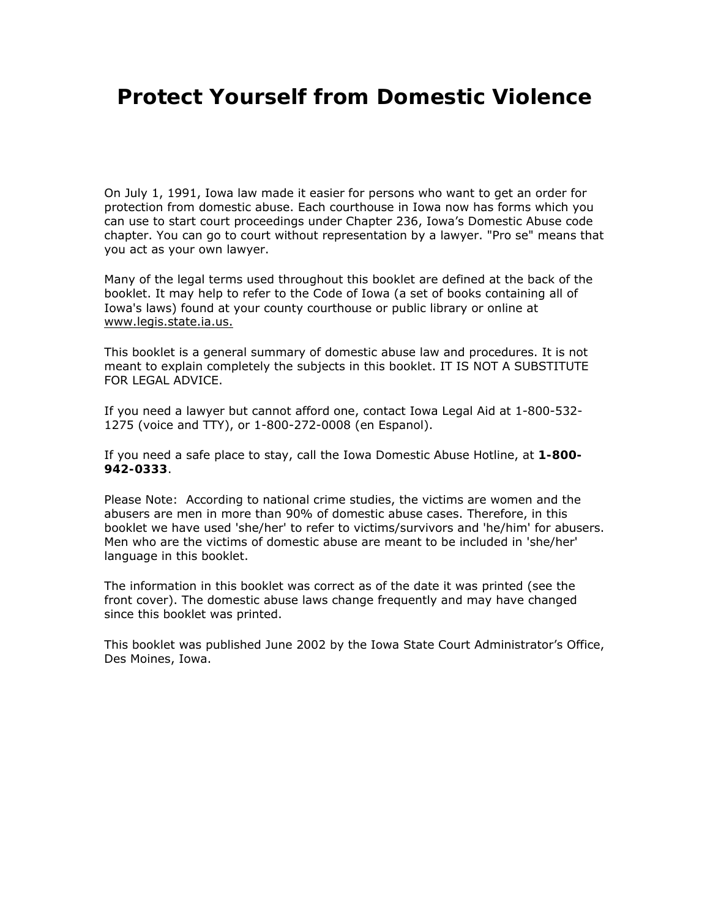# **Protect Yourself from Domestic Violence**

On July 1, 1991, Iowa law made it easier for persons who want to get an order for protection from domestic abuse. Each courthouse in Iowa now has forms which you can use to start court proceedings under Chapter 236, Iowa's Domestic Abuse code chapter. You can go to court without representation by a lawyer. "Pro se" means that you act as your own lawyer.

Many of the legal terms used throughout this booklet are defined at the back of the booklet. It may help to refer to the Code of Iowa (a set of books containing all of Iowa's laws) found at your county courthouse or public library or online at www.legis.state.ia.us.

This booklet is a general summary of domestic abuse law and procedures. It is not meant to explain completely the subjects in this booklet. IT IS NOT A SUBSTITUTE FOR LEGAL ADVICE.

If you need a lawyer but cannot afford one, contact Iowa Legal Aid at 1-800-532- 1275 (voice and TTY), or 1-800-272-0008 (en Espanol).

If you need a safe place to stay, call the Iowa Domestic Abuse Hotline, at **1-800- 942-0333**.

Please Note: According to national crime studies, the victims are women and the abusers are men in more than 90% of domestic abuse cases. Therefore, in this booklet we have used 'she/her' to refer to victims/survivors and 'he/him' for abusers. Men who are the victims of domestic abuse are meant to be included in 'she/her' language in this booklet.

The information in this booklet was correct as of the date it was printed (see the front cover). The domestic abuse laws change frequently and may have changed since this booklet was printed.

This booklet was published June 2002 by the Iowa State Court Administrator's Office, Des Moines, Iowa.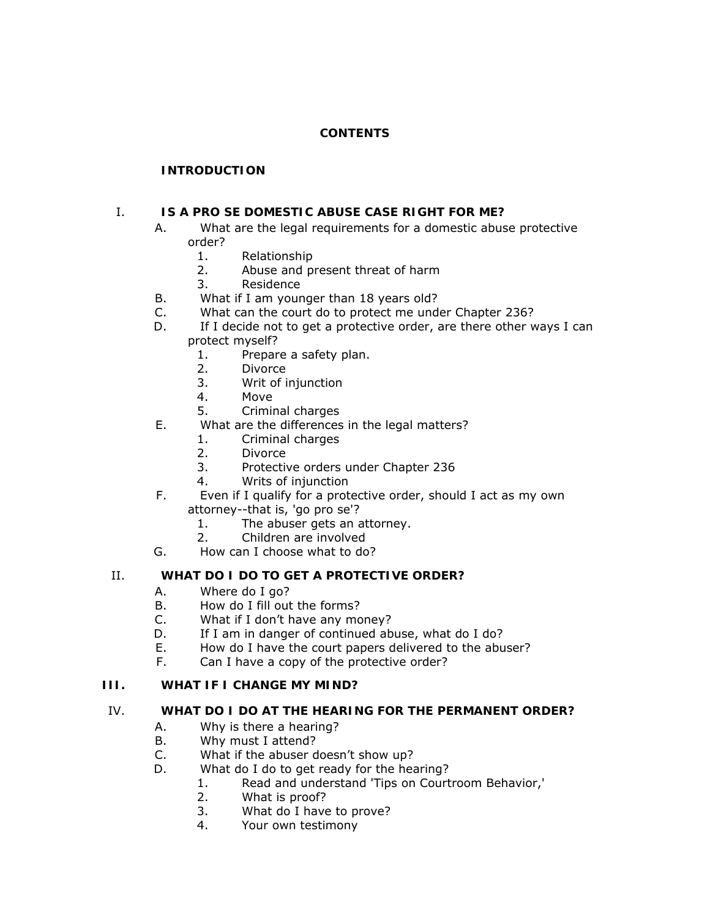# **CONTENTS**

# **[INTRODUCTION](http://www.judicial.state.ia.us/families/domviol/#0)**

## I. **[IS A PRO SE DOMESTIC ABUSE CASE RIGHT FOR ME?](http://www.judicial.state.ia.us/families/domviol/#I)**

- A. [What are the legal requirements for a domestic abuse protective](http://www.judicial.state.ia.us/families/domviol/#I.A)  [order?](http://www.judicial.state.ia.us/families/domviol/#I.A)
	- 1. [Relationship](http://www.judicial.state.ia.us/families/domviol/#I.A.1)
	- 2. [Abuse and present threat of harm](http://www.judicial.state.ia.us/families/domviol/#I.A.2)
	- 3. [Residence](http://www.judicial.state.ia.us/families/domviol/#I.A.3)
- B. [What if I am younger than 18 years old?](http://www.judicial.state.ia.us/families/domviol/#I.B)
- C. [What can the court do to protect me under Chapter 236?](http://www.judicial.state.ia.us/families/domviol/#I.C)
- D. [If I decide not to get a protective order, are there other ways I can](http://www.judicial.state.ia.us/families/domviol/#I.D)  [protect myself?](http://www.judicial.state.ia.us/families/domviol/#I.D) 
	- 1. [Prepare a safety plan.](http://www.judicial.state.ia.us/families/domviol/#I.D.1)
	- 2. [Divorce](http://www.judicial.state.ia.us/families/domviol/#I.D.2)
	- 3. [Writ of injunction](http://www.judicial.state.ia.us/families/domviol/#I.D.3)
	- 4. [Move](http://www.judicial.state.ia.us/families/domviol/#I.D.4)
	- 5. [Criminal charges](http://www.judicial.state.ia.us/families/domviol/#I.D.5)
- E. [What are the differences in the legal matters?](http://www.judicial.state.ia.us/families/domviol/#I.E)
	- 1. [Criminal charges](http://www.judicial.state.ia.us/families/domviol/#I.E.1)
	- 2. [Divorce](http://www.judicial.state.ia.us/families/domviol/#I.E.2)
	- 3. [Protective orders under Chapter 236](http://www.judicial.state.ia.us/families/domviol/#I.E.3)
	- 4. [Writs of injunction](http://www.judicial.state.ia.us/families/domviol/#I.E.4)
- F. [Even if I qualify for a protective order, should I act as my own](http://www.judicial.state.ia.us/families/domviol/#I.F)  [attorney--that is, 'go pro se'?](http://www.judicial.state.ia.us/families/domviol/#I.F)
	- 1. [The abuser gets an attorney.](http://www.judicial.state.ia.us/families/domviol/#I.F.1)
	- 2. [Children are involved](http://www.judicial.state.ia.us/families/domviol/#I.F.2)
- G. [How can I choose what to do?](http://www.judicial.state.ia.us/families/domviol/#I.G)

## II. **[WHAT DO I DO TO GET A PROTECTIVE ORDER?](http://www.judicial.state.ia.us/families/domviol/#II)**

- A. [Where do I go?](http://www.judicial.state.ia.us/families/domviol/#II.A)
- B. [How do I fill out the forms?](http://www.judicial.state.ia.us/families/domviol/#II.B)
- C. [What if I don't have any money?](http://www.judicial.state.ia.us/families/domviol/#II.C)
- D. If I am in danger of continued abuse, what do I do?
- E. [How do I have the court papers delivered to the abuser?](http://www.judicial.state.ia.us/families/domviol/#II.E)
- F. [Can I have a copy of the protective order?](http://www.judicial.state.ia.us/families/domviol/#II.F)

# **III. [WHAT IF I CHANGE MY MIND?](http://www.judicial.state.ia.us/families/domviol/#III)**

## IV. **[WHAT DO I DO AT THE HEARING FOR THE PERMANENT ORDER?](http://www.judicial.state.ia.us/families/domviol/#IV)**

- A. [Why is there a hearing?](http://www.judicial.state.ia.us/families/domviol/#IV.A)
- B. [Why must I attend?](http://www.judicial.state.ia.us/families/domviol/#IV.B)
- C. [What if the abuser doesn't show up?](http://www.judicial.state.ia.us/families/domviol/#IV.C)
- D. [What do I do to get ready for the hearing?](http://www.judicial.state.ia.us/families/domviol/#IV.D)
	- 1. [Read and understand 'Tips on Courtroom Behavior,'](http://www.judicial.state.ia.us/families/domviol/#IV.D.1)
	- 2. [What is proof?](http://www.judicial.state.ia.us/families/domviol/#IV.D.2)
	- 3. [What do I have to prove?](http://www.judicial.state.ia.us/families/domviol/#IV.D.3)
	- 4. [Your own testimony](http://www.judicial.state.ia.us/families/domviol/#IV.D.4)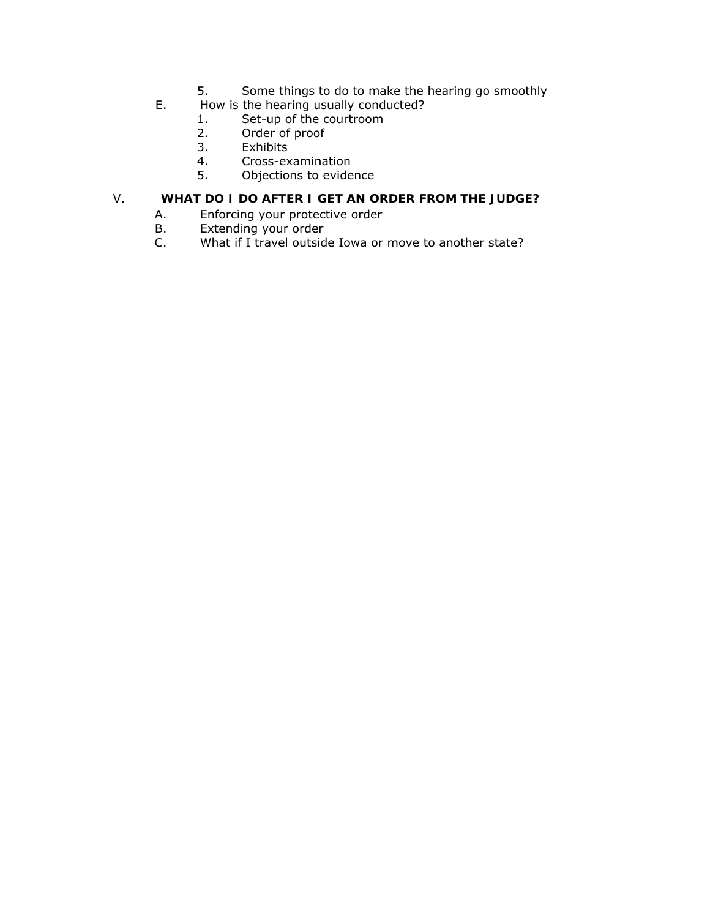- 5. [Some things to do to make the hearing go smoothly](http://www.judicial.state.ia.us/families/domviol/#IV.D.5)
- E. [How is the hearing usually conducted?](http://www.judicial.state.ia.us/families/domviol/#IV.E)
	- 1. [Set-up of the courtroom](http://www.judicial.state.ia.us/families/domviol/#IV.E.1)
	- 2. [Order of proof](http://www.judicial.state.ia.us/families/domviol/#IV.E.2)<br>3. Exhibits
	- 3. Exhibits<br>4. Cross-ex
	- 4. [Cross-examination](http://www.judicial.state.ia.us/families/domviol/#IV.E.4)
	- 5. [Objections to evidence](http://www.judicial.state.ia.us/families/domviol/#IV.E.5)

# V. **[WHAT DO I DO AFTER I GET AN ORDER FROM THE JUDGE?](http://www.judicial.state.ia.us/families/domviol/#V)**

- A. [Enforcing your protective order](http://www.judicial.state.ia.us/families/domviol/#V.A)
- B. [Extending your order](http://www.judicial.state.ia.us/families/domviol/#V.B)
- C. [What if I travel outside Iowa or move to another state?](http://www.judicial.state.ia.us/families/domviol/#V.C)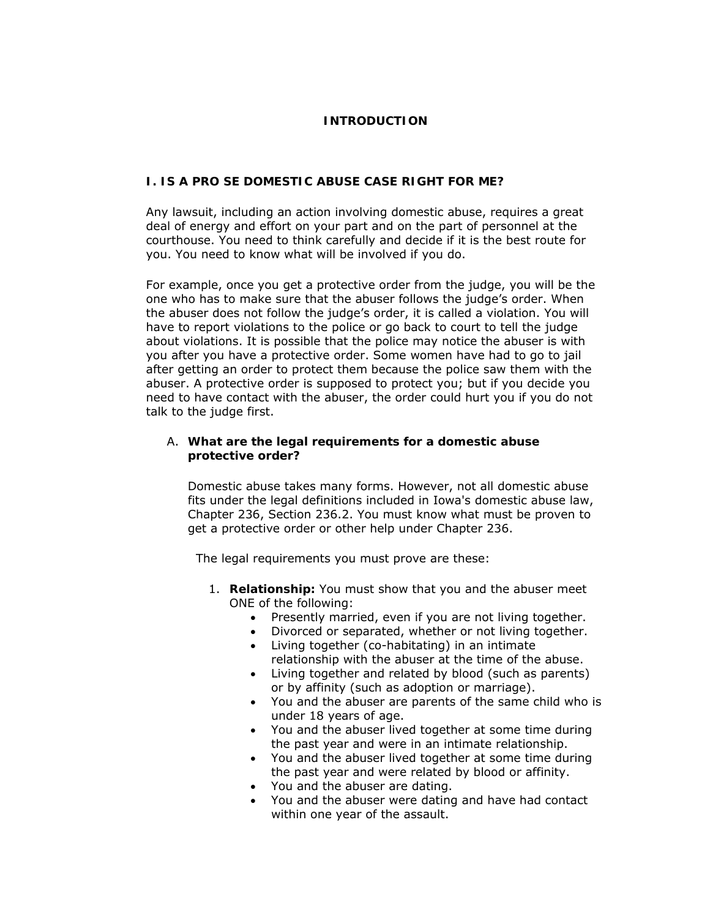## **INTRODUCTION**

## **I. IS A PRO SE DOMESTIC ABUSE CASE RIGHT FOR ME?**

Any lawsuit, including an action involving domestic abuse, requires a great deal of energy and effort on your part and on the part of personnel at the courthouse. You need to think carefully and decide if it is the best route for you. You need to know what will be involved if you do.

For example, once you get a protective order from the judge, you will be the one who has to make sure that the abuser follows the judge's order. When the abuser does not follow the judge's order, it is called a violation. You will have to report violations to the police or go back to court to tell the judge about violations. It is possible that the police may notice the abuser is with you after you have a protective order. Some women have had to go to jail after getting an order to protect them because the police saw them with the abuser. A protective order is supposed to protect you; but if you decide you need to have contact with the abuser, the order could hurt you if you do not talk to the judge first.

#### A. **What are the legal requirements for a domestic abuse protective order?**

Domestic abuse takes many forms. However, not all domestic abuse fits under the legal definitions included in Iowa's domestic abuse law, Chapter 236, Section 236.2. You must know what must be proven to get a protective order or other help under Chapter 236.

The legal requirements you must prove are these:

- 1. **Relationship:** You must show that you and the abuser meet ONE of the following:
	- Presently married, even if you are not living together.
	- Divorced or separated, whether or not living together.
	- Living together (co-habitating) in an intimate relationship with the abuser at the time of the abuse.
	- Living together and related by blood (such as parents) or by affinity (such as adoption or marriage).
	- You and the abuser are parents of the same child who is under 18 years of age.
	- You and the abuser lived together at some time during the past year and were in an intimate relationship.
	- You and the abuser lived together at some time during the past year and were related by blood or affinity.
	- You and the abuser are dating.
	- You and the abuser were dating and have had contact within one year of the assault.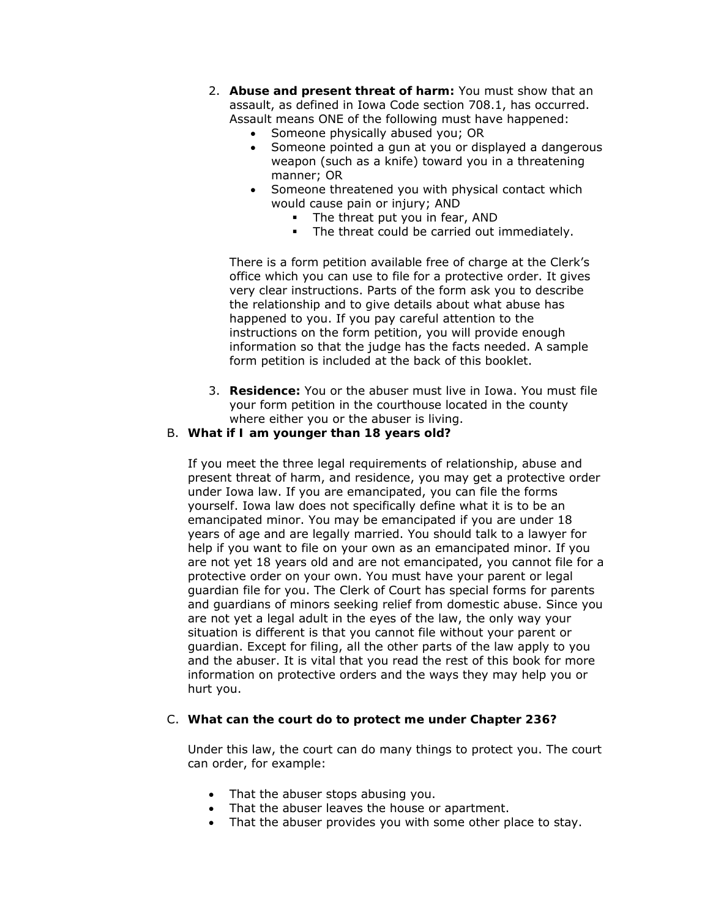- 2. **Abuse and present threat of harm:** You must show that an assault, as defined in Iowa Code section 708.1, has occurred. Assault means ONE of the following must have happened:
	- Someone physically abused you; OR
	- Someone pointed a gun at you or displayed a dangerous weapon (such as a knife) toward you in a threatening manner; OR
	- Someone threatened you with physical contact which would cause pain or injury; AND
		- The threat put you in fear, AND
		- The threat could be carried out immediately.

There is a form petition available free of charge at the Clerk's office which you can use to file for a protective order. It gives very clear instructions. Parts of the form ask you to describe the relationship and to give details about what abuse has happened to you. If you pay *careful* attention to the instructions on the form petition, you will provide enough information so that the judge has the facts needed. A sample form petition is included at the back of this booklet.

3. **Residence:** You or the abuser must live in Iowa. You must file your form petition in the courthouse located in the county where either you or the abuser is living.

## B. **What if I am younger than 18 years old?**

If you meet the three legal requirements of relationship, abuse and present threat of harm, and residence, you may get a protective order under Iowa law. If you are emancipated, you can file the forms yourself. Iowa law does not specifically define what it is to be an emancipated minor. You may be emancipated if you are under 18 years of age and are legally married. You should talk to a lawyer for help if you want to file on your own as an emancipated minor. If you are not yet 18 years old and are not emancipated, you cannot file for a protective order on your own. You must have your parent or legal guardian file for you. The Clerk of Court has special forms for parents and guardians of minors seeking relief from domestic abuse. Since you are not yet a legal adult in the eyes of the law, the only way your situation is different is that you cannot file without your parent or guardian. Except for filing, all the other parts of the law apply to you and the abuser. It is vital that you read the rest of this book for more information on protective orders and the ways they may help you or hurt you.

## C. **What can the court do to protect me under Chapter 236?**

Under this law, the court can do many things to protect you. The court can order, for example:

- That the abuser stops abusing you.
- That the abuser leaves the house or apartment.
- That the abuser provides you with some other place to stay.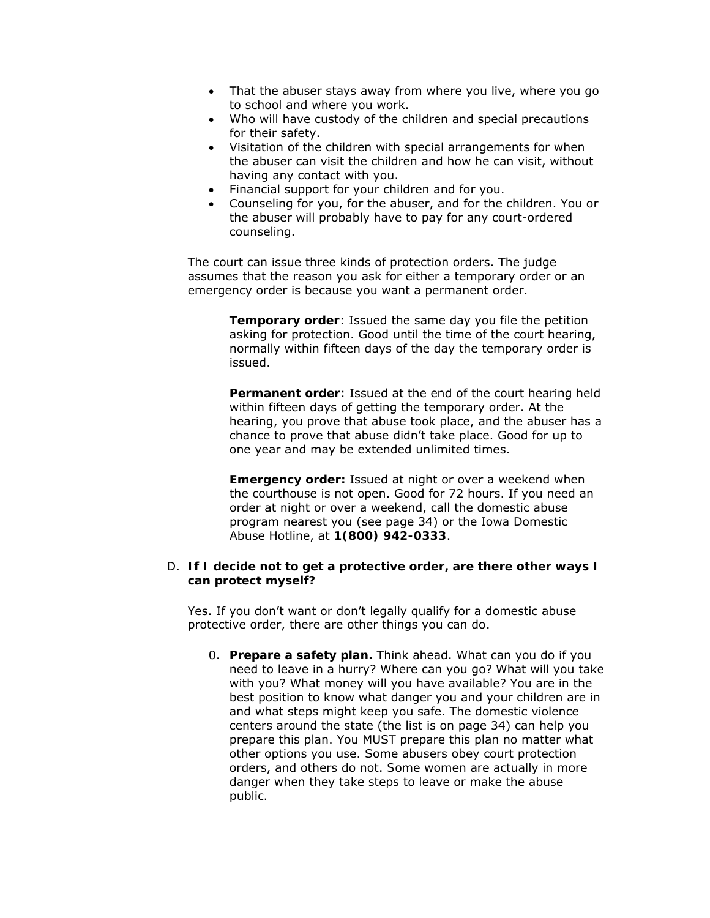- That the abuser stays away from where you live, where you go to school and where you work.
- Who will have custody of the children and special precautions for their safety.
- Visitation of the children with special arrangements for when the abuser can visit the children and how he can visit, without having any contact with you.
- Financial support for your children and for you.
- Counseling for you, for the abuser, and for the children. You or the abuser will probably have to pay for any court-ordered counseling.

The court can issue three kinds of protection orders. The judge assumes that the reason you ask for either a temporary order or an emergency order is because you want a permanent order.

> **Temporary order**: Issued the same day you file the petition asking for protection. Good until the time of the court hearing, normally within fifteen days of the day the temporary order is issued.

**Permanent order**: Issued at the end of the court hearing held within fifteen days of getting the temporary order. At the hearing, you prove that abuse took place, and the abuser has a chance to prove that abuse didn't take place. Good for up to one year and may be extended unlimited times.

**Emergency order:** Issued at night or over a weekend when the courthouse is not open. Good for 72 hours. If you need an order at night or over a weekend, call the domestic abuse program nearest you (see page 34) or the Iowa Domestic Abuse Hotline, at **1(800) 942-0333**.

#### D. **If I decide not to get a protective order, are there other ways I can protect myself?**

Yes. If you don't want or don't legally qualify for a domestic abuse protective order, there are other things you can do.

0. **Prepare a safety plan.** Think ahead. What can you do if you need to leave in a hurry? Where can you go? What will you take with you? What money will you have available? You are in the best position to know what danger you and your children are in and what steps might keep you safe. The domestic violence centers around the state (the list is on page 34) can help you prepare this plan. You MUST prepare this plan no matter what other options you use. Some abusers obey court protection orders, and others do not. *Some women are actually in more danger when they take steps to leave or make the abuse public.*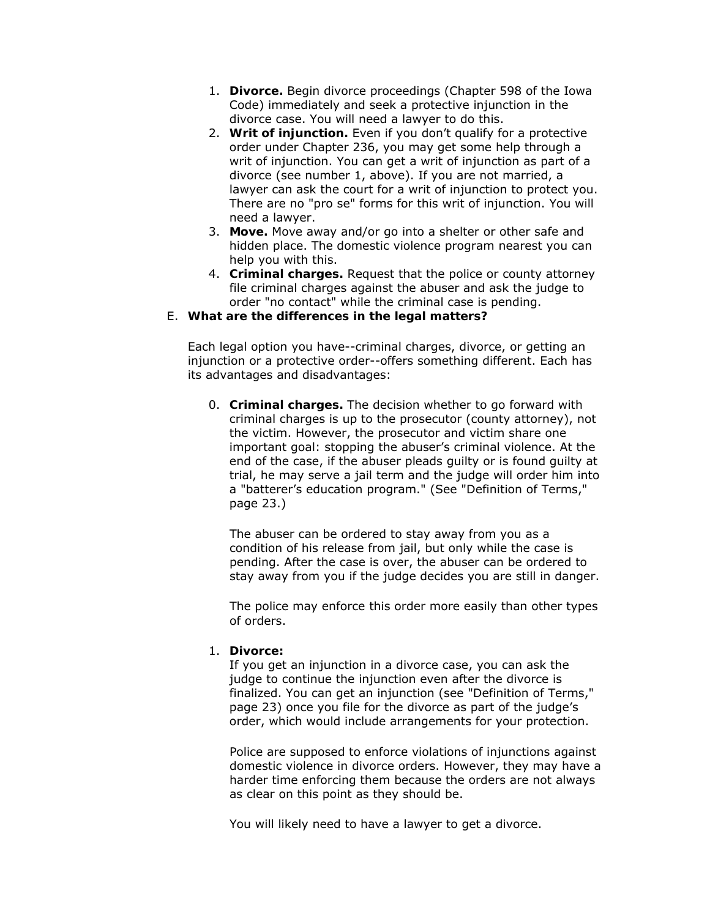- 1. **Divorce.** Begin divorce proceedings (Chapter 598 of the Iowa Code) immediately and seek a protective injunction in the divorce case. You will need a lawyer to do this.
- 2. **Writ of injunction.** Even if you don't qualify for a protective order under Chapter 236, you may get some help through a writ of injunction. You can get a writ of injunction as part of a divorce (see number 1, above). If you are not married, a lawyer can ask the court for a writ of injunction to protect you. There are no "pro se" forms for this writ of injunction. You will need a lawyer.
- 3. **Move.** Move away and/or go into a shelter or other safe and hidden place. The domestic violence program nearest you can help you with this.
- 4. **Criminal charges.** Request that the police or county attorney file criminal charges against the abuser and ask the judge to order "no contact" while the criminal case is pending.

#### E. **What are the differences in the legal matters?**

Each legal option you have--criminal charges, divorce, or getting an injunction or a protective order--offers something different. Each has its advantages and disadvantages:

0. **Criminal charges.** The decision whether to go forward with criminal charges is up to the prosecutor (county attorney), not the victim. However, the prosecutor and victim share one important goal: stopping the abuser's criminal violence. At the end of the case, if the abuser pleads guilty or is found guilty at trial, he may serve a jail term and the judge will order him into a "batterer's education program." (See "Definition of Terms," page 23.)

The abuser can be ordered to stay away from you as a condition of his release from jail, but only while the case is pending. After the case is over, the abuser can be ordered to stay away from you if the judge decides you are still in danger.

The police may enforce this order more easily than other types of orders.

## 1. **Divorce:**

If you get an injunction in a divorce case, you can ask the judge to continue the injunction even after the divorce is finalized. You can get an injunction (see "Definition of Terms," page 23) once you file for the divorce as part of the judge's order, which would include arrangements for your protection.

Police are supposed to enforce violations of injunctions against domestic violence in divorce orders. However, they may have a harder time enforcing them because the orders are not always as clear on this point as they should be.

You will likely need to have a lawyer to get a divorce.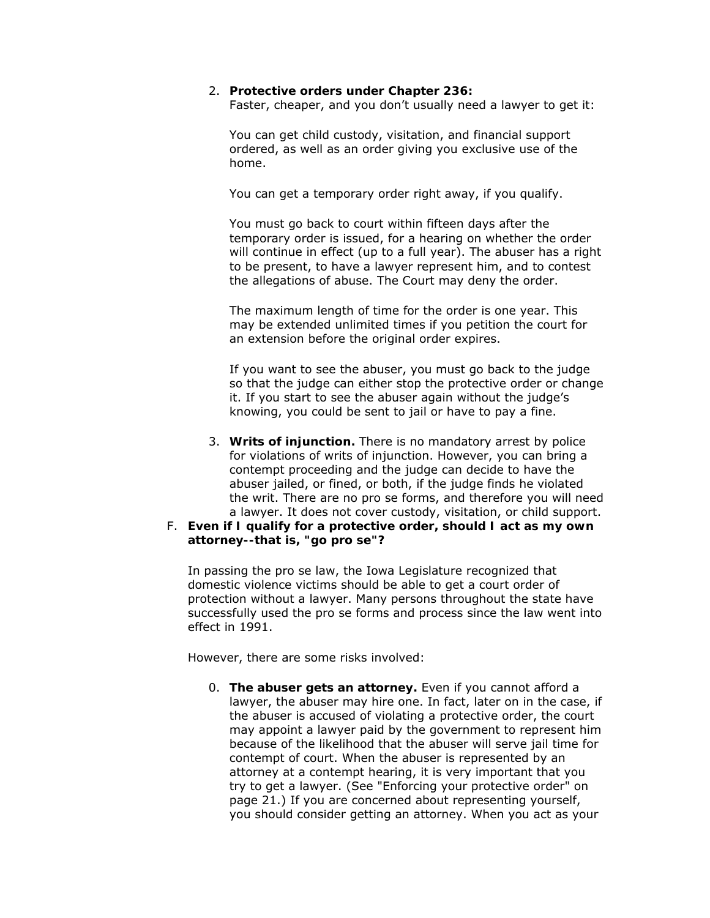#### 2. **Protective orders under Chapter 236:**

Faster, cheaper, and you don't usually need a lawyer to get it:

You can get child custody, visitation, and financial support ordered, as well as an order giving you exclusive use of the home.

You can get a temporary order right away, if you qualify.

You must go back to court within fifteen days after the temporary order is issued, for a hearing on whether the order will continue in effect (up to a full year). The abuser has a right to be present, to have a lawyer represent him, and to contest the allegations of abuse. The Court may deny the order.

The maximum length of time for the order is one year. This may be extended unlimited times if you petition the court for an extension before the original order expires.

If you want to see the abuser, you must go back to the judge so that the judge can either stop the protective order or change it. If you start to see the abuser again without the judge's knowing, you could be sent to jail or have to pay a fine.

3. **Writs of injunction.** There is no mandatory arrest by police for violations of writs of injunction. However, you can bring a contempt proceeding and the judge can decide to have the abuser jailed, or fined, or both, if the judge finds he violated the writ. There are no pro se forms, and therefore you will need a lawyer. It does not cover custody, visitation, or child support.

#### F. **Even if I qualify for a protective order, should I act as my own attorney--that is, "go pro se"?**

In passing the pro se law, the Iowa Legislature recognized that domestic violence victims should be able to get a court order of protection without a lawyer. Many persons throughout the state have successfully used the pro se forms and process since the law went into effect in 1991.

However, there are some risks involved:

0. **The abuser gets an attorney.** Even if you cannot afford a lawyer, the abuser may hire one. In fact, later on in the case, if the abuser is accused of violating a protective order, the court may appoint a lawyer paid by the government to represent him because of the likelihood that the abuser will serve jail time for contempt of court. When the abuser is represented by an attorney at a contempt hearing, it is very important that you try to get a lawyer. (See "Enforcing your protective order" on page 21.) If you are concerned about representing yourself, you should consider getting an attorney. When you act as your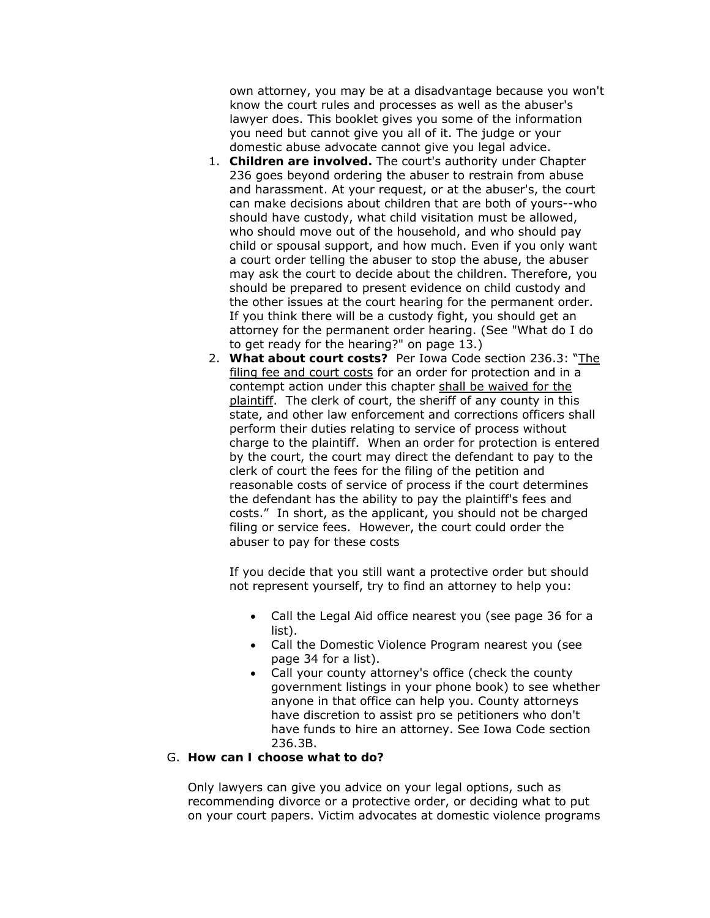own attorney, you may be at a disadvantage because you won't know the court rules and processes as well as the abuser's lawyer does. This booklet gives you some of the information you need but cannot give you all of it. The judge or your domestic abuse advocate cannot give you legal advice.

- 1. **Children are involved.** The court's authority under Chapter 236 goes beyond ordering the abuser to restrain from abuse and harassment. At your request, or at the abuser's, the court can make decisions about children that are both of yours--who should have custody, what child visitation must be allowed, who should move out of the household, and who should pay child or spousal support, and how much. Even if you only want a court order telling the abuser to stop the abuse, the abuser may ask the court to decide about the children. Therefore, you should be prepared to present evidence on child custody and the other issues at the court hearing for the permanent order. If you think there will be a custody fight, you should get an attorney for the permanent order hearing. (See "What do I do to get ready for the hearing?" on page 13.)
- 2. **What about court costs?** Per Iowa Code section 236.3: "The filing fee and court costs for an order for protection and in a contempt action under this chapter shall be waived for the plaintiff. The clerk of court, the sheriff of any county in this state, and other law enforcement and corrections officers shall perform their duties relating to service of process without charge to the plaintiff. When an order for protection is entered by the court, the court may direct the defendant to pay to the clerk of court the fees for the filing of the petition and reasonable costs of service of process if the court determines the defendant has the ability to pay the plaintiff's fees and costs." In short, as the applicant, you should not be charged filing or service fees. However, the court could order the abuser to pay for these costs

If you decide that you still want a protective order but should not represent yourself, try to find an attorney to help you:

- Call the Legal Aid office nearest you (see page 36 for a list).
- Call the Domestic Violence Program nearest you (see page 34 for a list).
- Call your county attorney's office (check the county government listings in your phone book) to see whether anyone in that office can help you. County attorneys have discretion to assist pro se petitioners who don't have funds to hire an attorney. See Iowa Code section 236.3B.

#### G. **How can I choose what to do?**

Only lawyers can give you advice on your legal options, such as recommending divorce or a protective order, or deciding what to put on your court papers. Victim advocates at domestic violence programs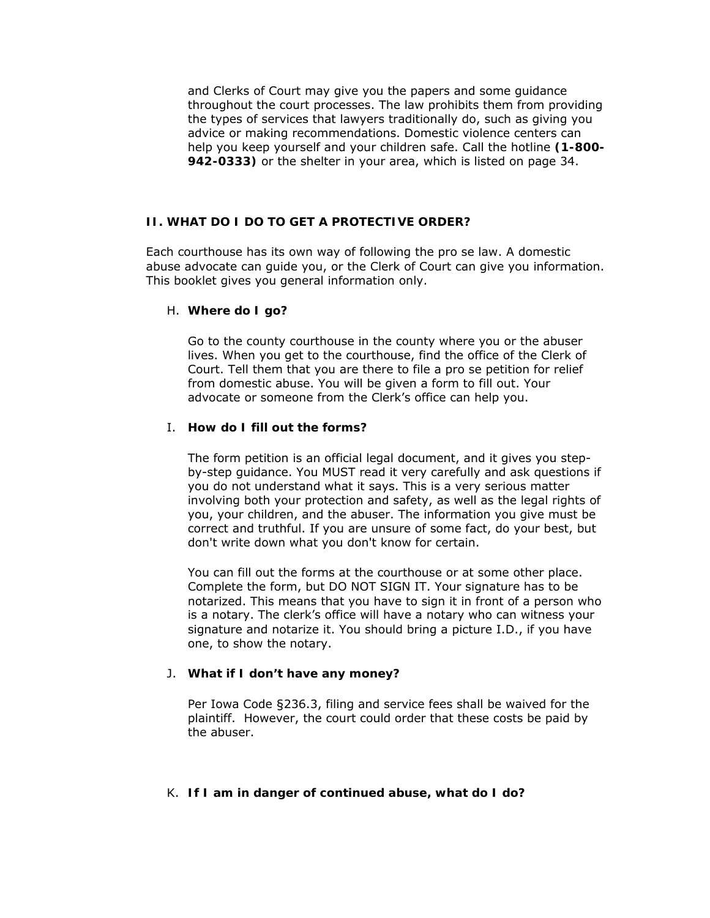and Clerks of Court may give you the papers and some guidance throughout the court processes. The law prohibits them from providing the types of services that lawyers traditionally do, such as giving you advice or making recommendations. Domestic violence centers can help you keep yourself and your children safe. Call the hotline **(1-800- 942-0333)** or the shelter in your area, which is listed on page 34.

#### **II. WHAT DO I DO TO GET A PROTECTIVE ORDER?**

Each courthouse has its own way of following the pro se law. A domestic abuse advocate can guide you, or the Clerk of Court can give you information. This booklet gives you general information only.

#### H. **Where do I go?**

Go to the *county* courthouse in the county where you or the abuser lives. When you get to the courthouse, find the office of the Clerk of Court. Tell them that you are there to file a pro se petition for relief from domestic abuse. You will be given a form to fill out. Your advocate or someone from the Clerk's office can help you.

# I. **How do I fill out the forms?**

The form petition is an official legal document, and it gives you stepby-step guidance. You MUST read it very carefully and ask questions if you do not understand what it says. This is a very serious matter involving both your protection and safety, as well as the legal rights of you, your children, and the abuser. The information you give must be correct and truthful. If you are unsure of some fact, do your best, but don't write down what you don't know for certain.

You can fill out the forms at the courthouse or at some other place. Complete the form, but DO NOT SIGN IT. Your signature has to be notarized. This means that you have to sign it in front of a person who is a notary. The clerk's office will have a notary who can witness your signature and notarize it. You should bring a picture I.D., if you have one, to show the notary.

#### J. **What if I don't have any money?**

Per Iowa Code §236.3, filing and service fees shall be waived for the plaintiff. However, the court could order that these costs be paid by the abuser.

#### K. **If I am in danger of continued abuse, what do I do?**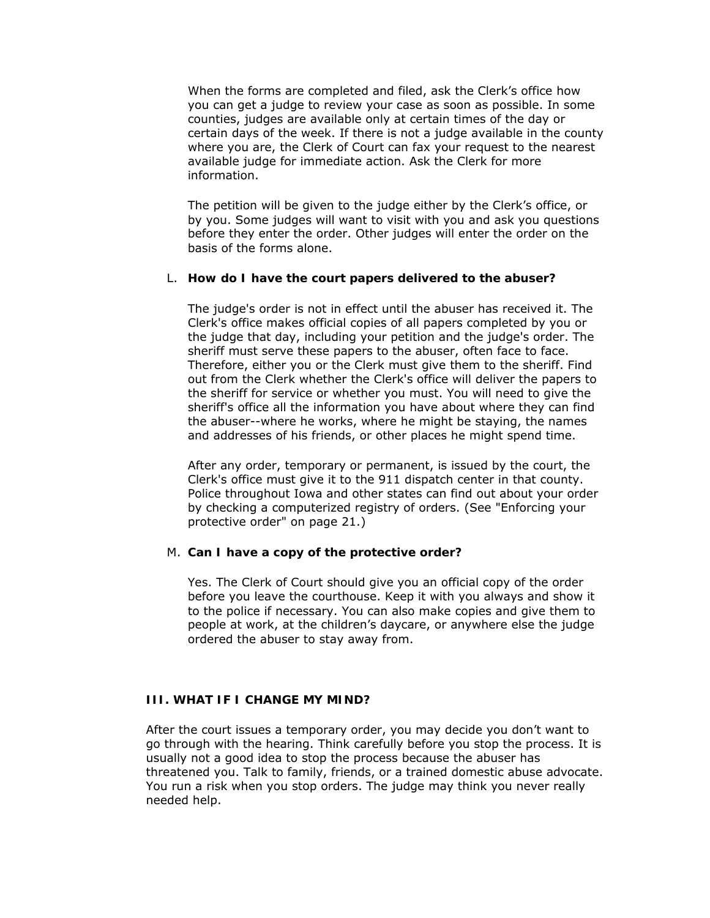When the forms are completed and filed, ask the Clerk's office how you can get a judge to review your case as soon as possible. In some counties, judges are available only at certain times of the day or certain days of the week. If there is not a judge available in the county where you are, the Clerk of Court can fax your request to the nearest available judge for immediate action. Ask the Clerk for more information.

The petition will be given to the judge either by the Clerk's office, or by you. Some judges will want to visit with you and ask you questions before they enter the order. Other judges will enter the order on the basis of the forms alone.

#### L. **How do I have the court papers delivered to the abuser?**

The judge's order is not in effect until the abuser has received it. The Clerk's office makes official copies of all papers completed by you or the judge that day, including your petition and the judge's order. The sheriff must serve these papers to the abuser, often face to face. Therefore, either you or the Clerk must give them to the sheriff. Find out from the Clerk whether the Clerk's office will deliver the papers to the sheriff for service or whether you must. You will need to give the sheriff's office all the information you have about where they can find the abuser--where he works, where he might be staying, the names and addresses of his friends, or other places he might spend time.

After any order, temporary or permanent, is issued by the court, the Clerk's office must give it to the 911 dispatch center in that county. Police throughout Iowa and other states can find out about your order by checking a computerized registry of orders. (See "Enforcing your protective order" on page 21.)

## M. **Can I have a copy of the protective order?**

Yes. The Clerk of Court should give you an official copy of the order before you leave the courthouse. Keep it with you always and show it to the police if necessary. You can also make copies and give them to people at work, at the children's daycare, or anywhere else the judge ordered the abuser to stay away from.

## **III. WHAT IF I CHANGE MY MIND?**

After the court issues a temporary order, you may decide you don't want to go through with the hearing. Think carefully before you stop the process. It is usually not a good idea to stop the process because the abuser has threatened you. Talk to family, friends, or a trained domestic abuse advocate. You run a risk when you stop orders. The judge may think you never really needed help.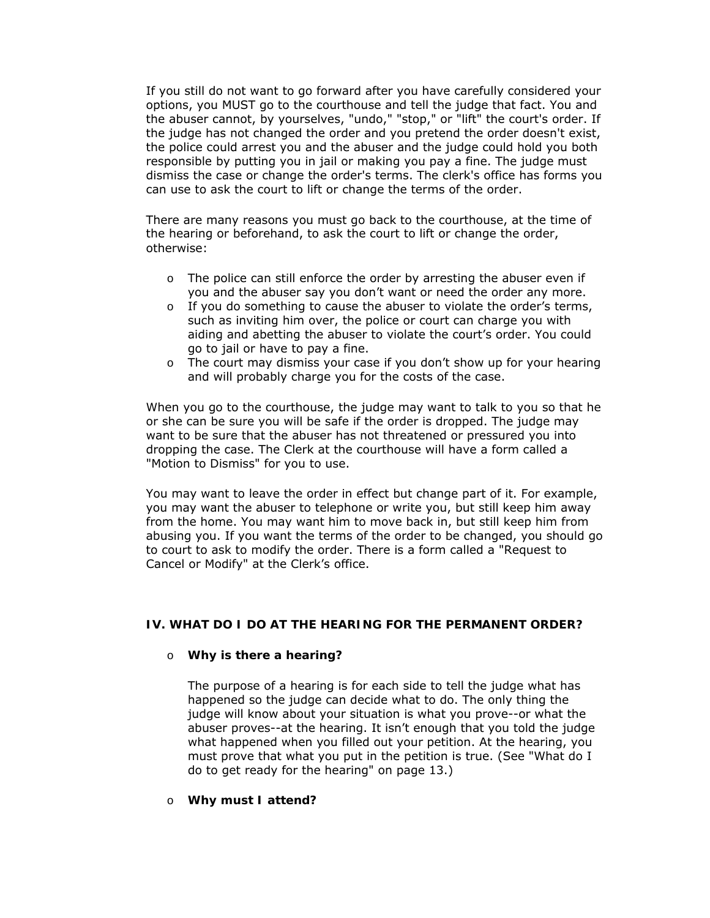If you still do not want to go forward after you have carefully considered your options, you MUST go to the courthouse and tell the judge that fact. You and the abuser cannot, by yourselves, "undo," "stop," or "lift" the court's order. If the judge has not changed the order and you pretend the order doesn't exist, the police could arrest you and the abuser and the judge could hold you both responsible by putting you in jail or making you pay a fine. The judge must dismiss the case or change the order's terms. The clerk's office has forms you can use to ask the court to lift or change the terms of the order.

There are many reasons you must go back to the courthouse, at the time of the hearing or beforehand, to ask the court to lift or change the order, otherwise:

- $\circ$  The police can still enforce the order by arresting the abuser even if you and the abuser say you don't want or need the order any more.
- o If you do something to cause the abuser to violate the order's terms, such as inviting him over, the police or court can charge you with aiding and abetting the abuser to violate the court's order. You could go to jail or have to pay a fine.
- o The court may dismiss your case if you don't show up for your hearing and will probably charge you for the costs of the case.

When you go to the courthouse, the judge may want to talk to you so that he or she can be sure you will be safe if the order is dropped. The judge may want to be sure that the abuser has not threatened or pressured you into dropping the case. The Clerk at the courthouse will have a form called a "Motion to Dismiss" for you to use.

You may want to leave the order in effect but change part of it. For example, you may want the abuser to telephone or write you, but still keep him away from the home. You may want him to move back in, but still keep him from abusing you. If you want the terms of the order to be changed, you should go to court to ask to modify the order. There is a form called a "Request to Cancel or Modify" at the Clerk's office.

## **IV. WHAT DO I DO AT THE HEARING FOR THE PERMANENT ORDER?**

#### o **Why is there a hearing?**

The purpose of a hearing is for each side to tell the judge what has happened so the judge can decide what to do. The only thing the judge will know about your situation is what you prove--or what the abuser proves--at the hearing. It isn't enough that you told the judge what happened when you filled out your petition. At the hearing, you must prove that what you put in the petition is true. (See "What do I do to get ready for the hearing" on page 13.)

#### o **Why must I attend?**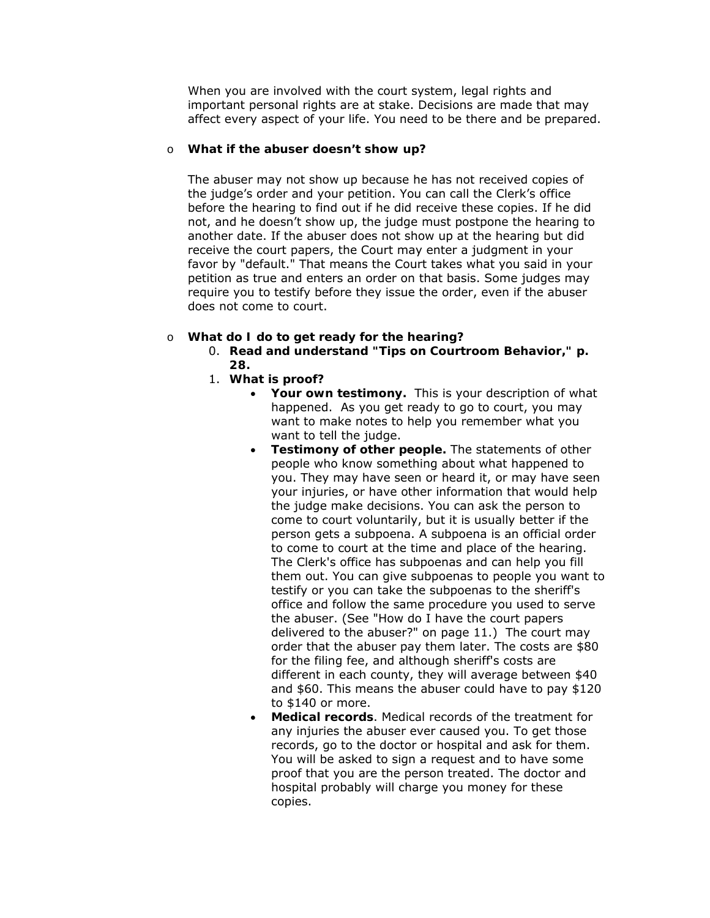When you are involved with the court system, legal rights and important personal rights are at stake. Decisions are made that may affect every aspect of your life. You need to be there and be prepared.

## o **What if the abuser doesn't show up?**

The abuser may not show up because he has not received copies of the judge's order and your petition. You can call the Clerk's office before the hearing to find out if he did receive these copies. If he did not, and he doesn't show up, the judge must postpone the hearing to another date. If the abuser does not show up at the hearing but did receive the court papers, the Court may enter a judgment in your favor by "default." That means the Court takes what you said in your petition as true and enters an order on that basis. Some judges may require you to testify before they issue the order, even if the abuser does not come to court.

#### o **What do I do to get ready for the hearing?**

- 0. **Read and understand "Tips on Courtroom Behavior," p. 28.**
- 1. **What is proof?**
	- Your own testimony. This is your description of what happened. As you get ready to go to court, you may want to make notes to help you remember what you want to tell the judge.
	- **Testimony of other people.** The statements of other people who know something about what happened to you. They may have seen or heard it, or may have seen your injuries, or have other information that would help the judge make decisions. You can ask the person to come to court voluntarily, but it is usually better if the person gets a subpoena. A subpoena is an official order to come to court at the time and place of the hearing. The Clerk's office has subpoenas and can help you fill them out. You can give subpoenas to people you want to testify or you can take the subpoenas to the sheriff's office and follow the same procedure you used to serve the abuser. (See "How do I have the court papers delivered to the abuser?" on page 11.) The court may order that the abuser pay them later. The costs are \$80 for the filing fee, and although sheriff's costs are different in each county, they will average between \$40 and \$60. This means the abuser could have to pay \$120 to \$140 or more.
	- **Medical records**. Medical records of the treatment for any injuries the abuser ever caused you. To get those records, go to the doctor or hospital and ask for them. You will be asked to sign a request and to have some proof that you are the person treated. The doctor and hospital probably will charge you money for these copies.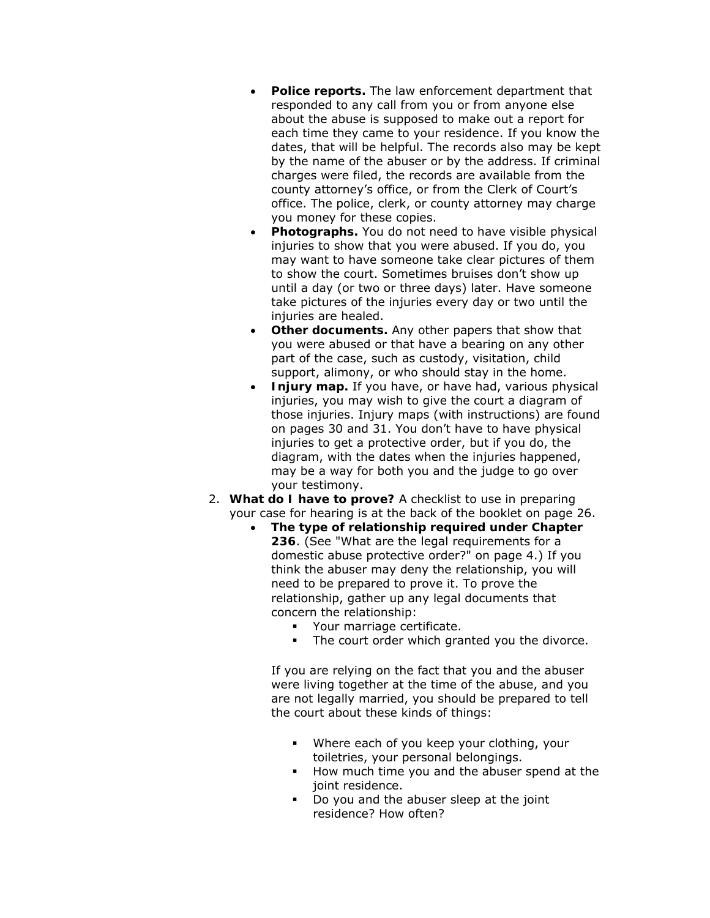- **Police reports.** The law enforcement department that responded to any call from you or from anyone else about the abuse is supposed to make out a report for each time they came to your residence. If you know the dates, that will be helpful. The records also may be kept by the name of the abuser or by the address. If criminal charges were filed, the records are available from the county attorney's office, or from the Clerk of Court's office. The police, clerk, or county attorney may charge you money for these copies.
- **Photographs.** You do not need to have visible physical injuries to show that you were abused. If you do, you may want to have someone take clear pictures of them to show the court. Sometimes bruises don't show up until a day (or two or three days) later. Have someone take pictures of the injuries every day or two until the injuries are healed.
- **Other documents.** Any other papers that show that you were abused or that have a bearing on any other part of the case, such as custody, visitation, child support, alimony, or who should stay in the home.
- **Injury map.** If you have, or have had, various physical injuries, you may wish to give the court a diagram of those injuries. Injury maps (with instructions) are found on pages 30 and 31. You don't have to have physical injuries to get a protective order, but if you do, the diagram, with the dates when the injuries happened, may be a way for both you and the judge to go over your testimony.
- 2. **What do I have to prove?** A checklist to use in preparing your case for hearing is at the back of the booklet on page 26.
	- **The type of relationship required under Chapter 236**. (See "What are the legal requirements for a domestic abuse protective order?" on page 4.) If you think the abuser may deny the relationship, you will need to be prepared to prove it. To prove the relationship, gather up any legal documents that concern the relationship:
		- **•** Your marriage certificate.
		- The court order which granted you the divorce.

If you are relying on the fact that you and the abuser were living together at the time of the abuse, and you are not legally married, you should be prepared to tell the court about these kinds of things:

- Where each of you keep your clothing, your toiletries, your personal belongings.
- How much time you and the abuser spend at the joint residence.
- Do you and the abuser sleep at the joint residence? How often?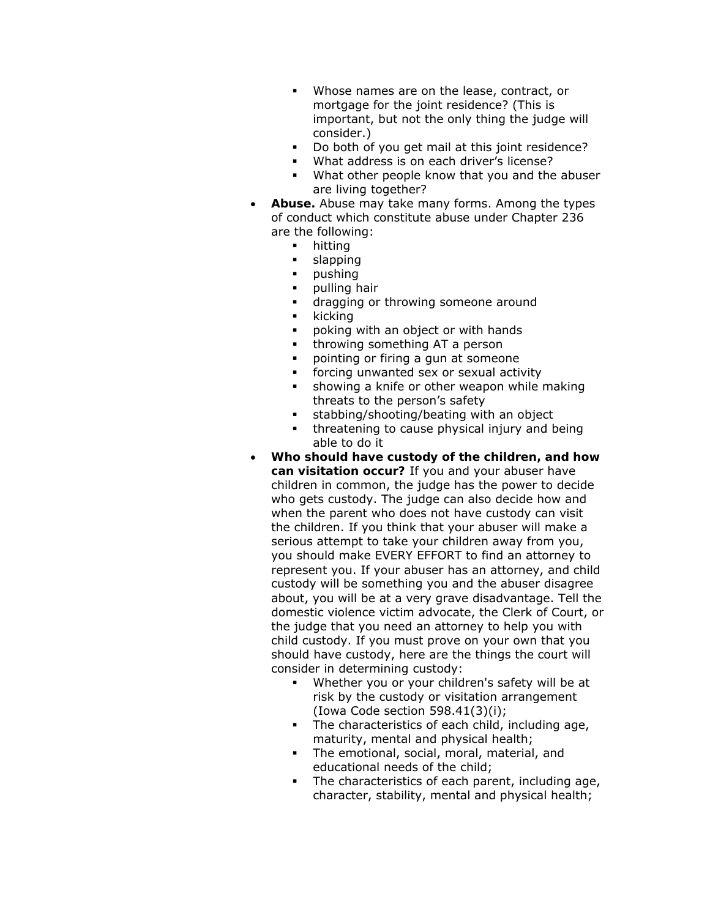- Whose names are on the lease, contract, or mortgage for the joint residence? (This is important, but not the only thing the judge will consider.)
- Do both of you get mail at this joint residence?
- **What address is on each driver's license?**
- What other people know that you and the abuser are living together?
- **Abuse.** Abuse may take many forms. Among the types of conduct which constitute abuse under Chapter 236 are the following:
	- **•** hitting
	- **slapping**
	- pushing
	- pulling hair
	- **dragging or throwing someone around**
	- $\blacksquare$  kicking
	- poking with an object or with hands
	- **throwing something AT a person**
	- pointing or firing a gun at someone
	- forcing unwanted sex or sexual activity
	- **showing a knife or other weapon while making** threats to the person's safety
	- stabbing/shooting/beating with an object
	- threatening to cause physical injury and being able to do it
- **Who should have custody of the children, and how can visitation occur?** If you and your abuser have children in common, the judge has the power to decide who gets custody. The judge can also decide how and when the parent who does not have custody can visit the children. If you think that your abuser will make a serious attempt to take your children away from you, you should make EVERY EFFORT to find an attorney to represent you. If your abuser has an attorney, and child custody will be something you and the abuser disagree about, you will be at a very grave disadvantage. Tell the domestic violence victim advocate, the Clerk of Court, or the judge that you need an attorney to help you with child custody. If you must prove on your own that you should have custody, here are the things the court will consider in determining custody:
	- Whether you or your children's safety will be at risk by the custody or visitation arrangement (Iowa Code section 598.41(3)(i);
	- The characteristics of each child, including age, maturity, mental and physical health;
	- The emotional, social, moral, material, and educational needs of the child;
	- The characteristics of each parent, including age, character, stability, mental and physical health;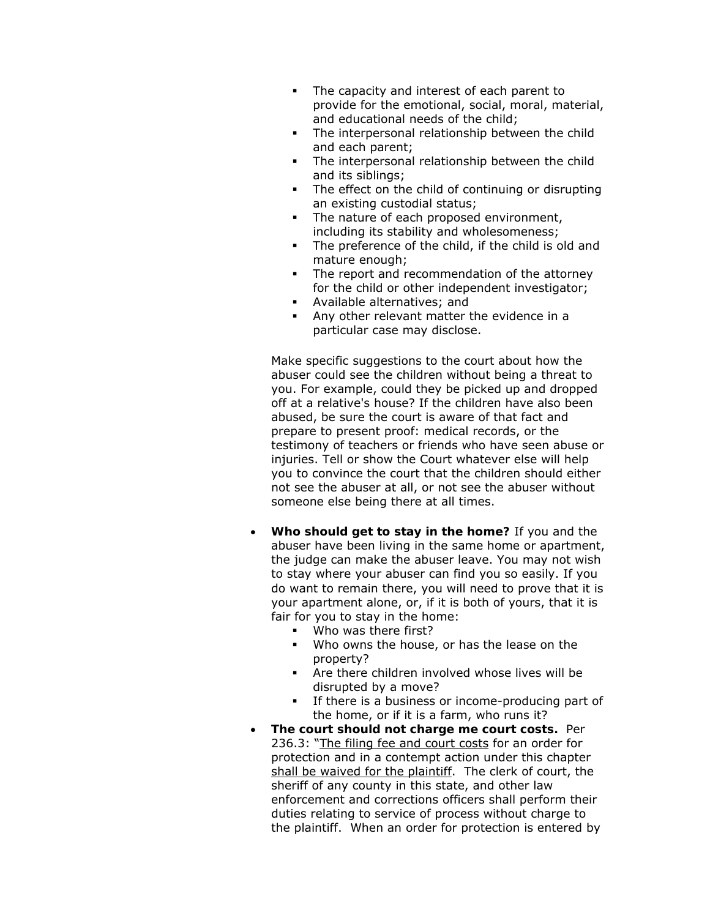- The capacity and interest of each parent to provide for the emotional, social, moral, material, and educational needs of the child;
- The interpersonal relationship between the child and each parent;
- The interpersonal relationship between the child and its siblings;
- The effect on the child of continuing or disrupting an existing custodial status;
- The nature of each proposed environment, including its stability and wholesomeness;
- The preference of the child, if the child is old and mature enough;
- The report and recommendation of the attorney for the child or other independent investigator;
- Available alternatives; and
- Any other relevant matter the evidence in a particular case may disclose.

Make specific suggestions to the court about how the abuser could see the children without being a threat to you. For example, could they be picked up and dropped off at a relative's house? If the children have also been abused, be sure the court is aware of that fact and prepare to present proof: medical records, or the testimony of teachers or friends who have seen abuse or injuries. Tell or show the Court whatever else will help you to convince the court that the children should either not see the abuser at all, or not see the abuser without someone else being there at all times.

- **Who should get to stay in the home?** If you and the abuser have been living in the same home or apartment, the judge can make the abuser leave. You may not wish to stay where your abuser can find you so easily. If you do want to remain there, you will need to prove that it is your apartment alone, or, if it is both of yours, that it is fair for you to stay in the home:
	- Who was there first?
	- . Who owns the house, or has the lease on the property?
	- Are there children involved whose lives will be disrupted by a move?
	- If there is a business or income-producing part of the home, or if it is a farm, who runs it?
- **The court should not charge me court costs.** Per 236.3: "The filing fee and court costs for an order for protection and in a contempt action under this chapter shall be waived for the plaintiff. The clerk of court, the sheriff of any county in this state, and other law enforcement and corrections officers shall perform their duties relating to service of process without charge to the plaintiff. When an order for protection is entered by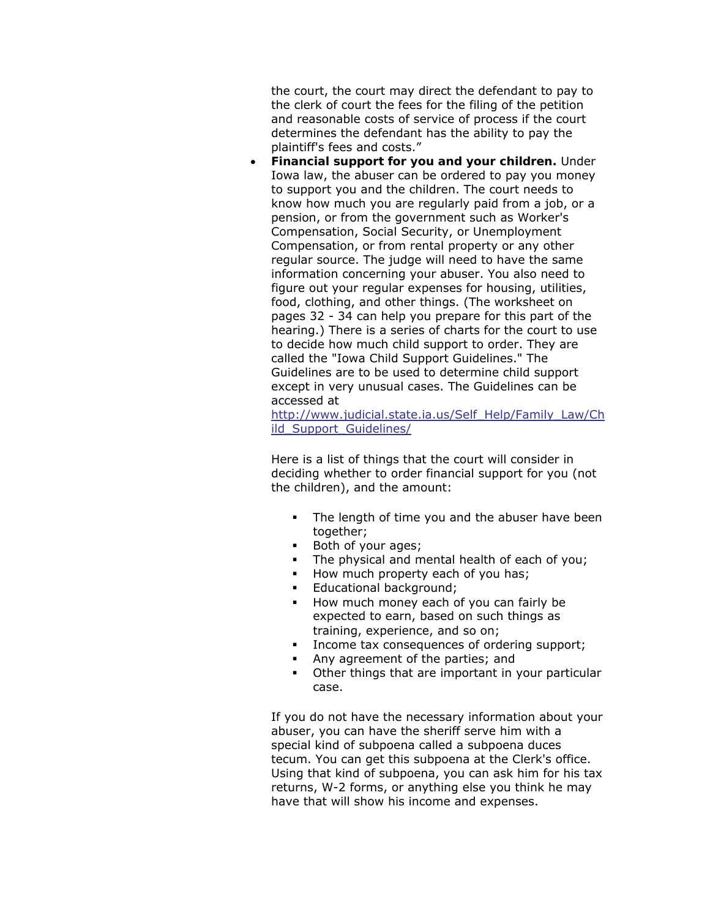the court, the court may direct the defendant to pay to the clerk of court the fees for the filing of the petition and reasonable costs of service of process if the court determines the defendant has the ability to pay the plaintiff's fees and costs."

• **Financial support for you and your children.** Under Iowa law, the abuser can be ordered to pay you money to support you and the children. The court needs to know how much you are regularly paid from a job, or a pension, or from the government such as Worker's Compensation, Social Security, or Unemployment Compensation, or from rental property or any other regular source. The judge will need to have the same information concerning your abuser. You also need to figure out your regular expenses for housing, utilities, food, clothing, and other things. (The worksheet on pages 32 - 34 can help you prepare for this part of the hearing.) There is a series of charts for the court to use to decide how much child support to order. They are called the "Iowa Child Support Guidelines." The Guidelines are to be used to determine child support except in very unusual cases. The Guidelines can be accessed at

[http://www.judicial.state.ia.us/Self\\_Help/Family\\_Law/Ch](http://www.judicial.state.ia.us/Self_Help/Family_Law/Child_Support_Guidelines/) [ild\\_Support\\_Guidelines/](http://www.judicial.state.ia.us/Self_Help/Family_Law/Child_Support_Guidelines/)

Here is a list of things that the court will consider in deciding whether to order financial support for you (not the children), and the amount:

- The length of time you and the abuser have been together;
- Both of your ages;
- The physical and mental health of each of you;
- How much property each of you has;
- **Educational background;**
- How much money each of you can fairly be expected to earn, based on such things as training, experience, and so on;
- Income tax consequences of ordering support;
- Any agreement of the parties; and
- Other things that are important in your particular case.

If you do not have the necessary information about your abuser, you can have the sheriff serve him with a special kind of subpoena called a subpoena duces tecum. You can get this subpoena at the Clerk's office. Using that kind of subpoena, you can ask him for his tax returns, W-2 forms, or anything else you think he may have that will show his income and expenses.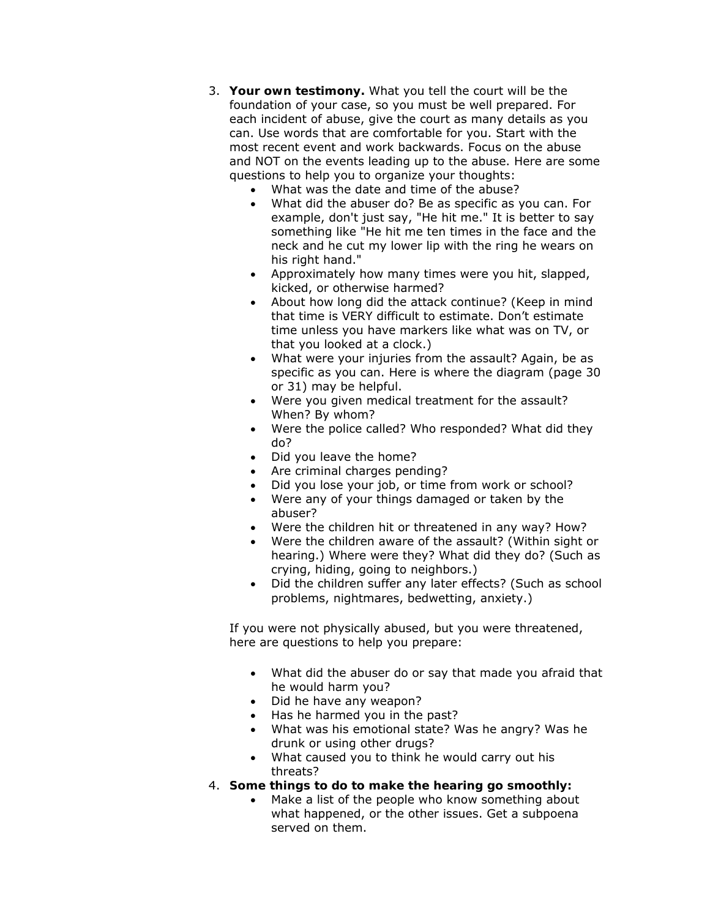- 3. **Your own testimony.** What you tell the court will be the foundation of your case, so you must be well prepared. For each incident of abuse, give the court as many details as you can. Use words that are comfortable for you. Start with the most recent event and work backwards. Focus on the abuse and NOT on the events leading up to the abuse. Here are some questions to help you to organize your thoughts:
	- What was the date and time of the abuse?
	- What did the abuser do? Be as specific as you can. For example, don't just say, "He hit me." It is better to say something like "He hit me ten times in the face and the neck and he cut my lower lip with the ring he wears on his right hand."
	- Approximately how many times were you hit, slapped, kicked, or otherwise harmed?
	- About how long did the attack continue? (Keep in mind that time is VERY difficult to estimate. Don't estimate time unless you have markers like what was on TV, or that you looked at a clock.)
	- What were your injuries from the assault? Again, be as specific as you can. Here is where the diagram (page 30 or 31) may be helpful.
	- Were you given medical treatment for the assault? When? By whom?
	- Were the police called? Who responded? What did they do?
	- Did you leave the home?
	- Are criminal charges pending?
	- Did you lose your job, or time from work or school?
	- Were any of your things damaged or taken by the abuser?
	- Were the children hit or threatened in any way? How?
	- Were the children aware of the assault? (Within sight or hearing.) Where were they? What did they do? (Such as crying, hiding, going to neighbors.)
	- Did the children suffer any later effects? (Such as school problems, nightmares, bedwetting, anxiety.)

If you were not physically abused, but you were threatened, here are questions to help you prepare:

- What did the abuser do or say that made you afraid that he would harm you?
- Did he have any weapon?
- Has he harmed you in the past?
- What was his emotional state? Was he angry? Was he drunk or using other drugs?
- What caused you to think he would carry out his threats?
- 4. **Some things to do to make the hearing go smoothly:**
	- Make a list of the people who know something about what happened, or the other issues. Get a subpoena served on them.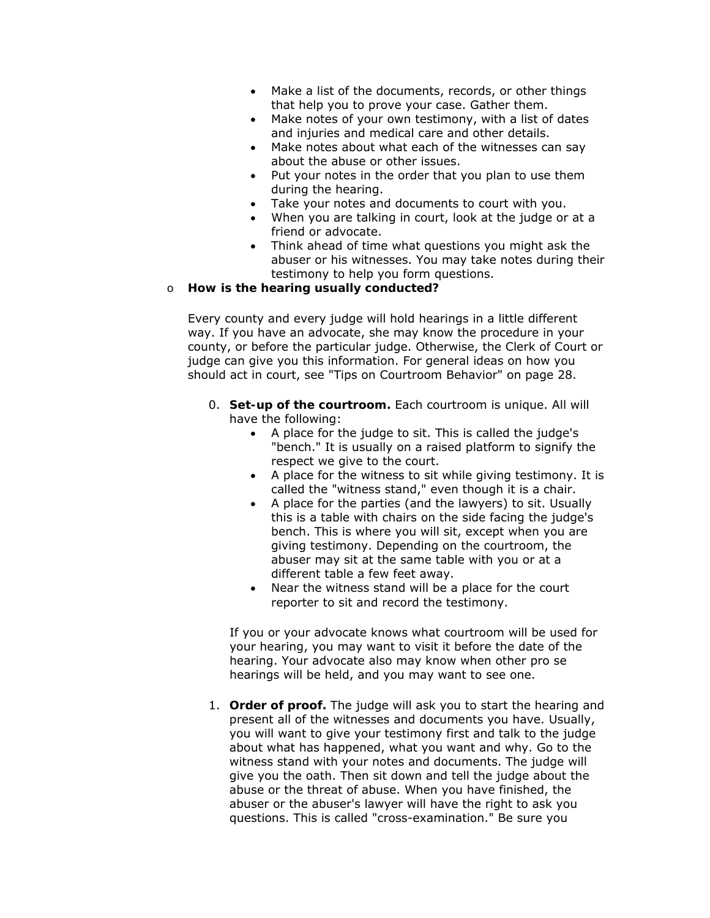- Make a list of the documents, records, or other things that help you to prove your case. Gather them.
- Make notes of *your own* testimony, with a list of dates and injuries and medical care and other details.
- Make notes about what each of the witnesses can say about the abuse or other issues.
- Put your notes in the order that you plan to use them during the hearing.
- Take your notes and documents to court with you.
- When you are talking in court, look at the judge or at a friend or advocate.
- Think ahead of time what questions you might ask the abuser or his witnesses. You may take notes during their testimony to help you form questions.

#### o **How is the hearing usually conducted?**

Every county and every judge will hold hearings in a little different way. If you have an advocate, she may know the procedure in your county, or before the particular judge. Otherwise, the Clerk of Court or judge can give you this information. For general ideas on how you should act in court, see "Tips on Courtroom Behavior" on page 28.

- 0. **Set-up of the courtroom.** Each courtroom is unique. All will have the following:
	- A place for the judge to sit. This is called the judge's "bench." It is usually on a raised platform to signify the respect we give to the court.
	- A place for the witness to sit while giving testimony. It is called the "witness stand," even though it is a chair.
	- A place for the parties (and the lawyers) to sit. Usually this is a table with chairs on the side facing the judge's bench. This is where you will sit, except when you are giving testimony. Depending on the courtroom, the abuser may sit at the same table with you or at a different table a few feet away.
	- Near the witness stand will be a place for the court reporter to sit and record the testimony.

If you or your advocate knows what courtroom will be used for your hearing, you may want to visit it before the date of the hearing. Your advocate also may know when other pro se hearings will be held, and you may want to see one.

1. **Order of proof.** The judge will ask you to start the hearing and present all of the witnesses and documents you have. Usually, you will want to give your testimony first and talk to the judge about what has happened, what you want and why. Go to the witness stand with your notes and documents. The judge will give you the oath. Then sit down and tell the judge about the abuse or the threat of abuse. When you have finished, the abuser or the abuser's lawyer will have the right to ask you questions. This is called "cross-examination." Be sure you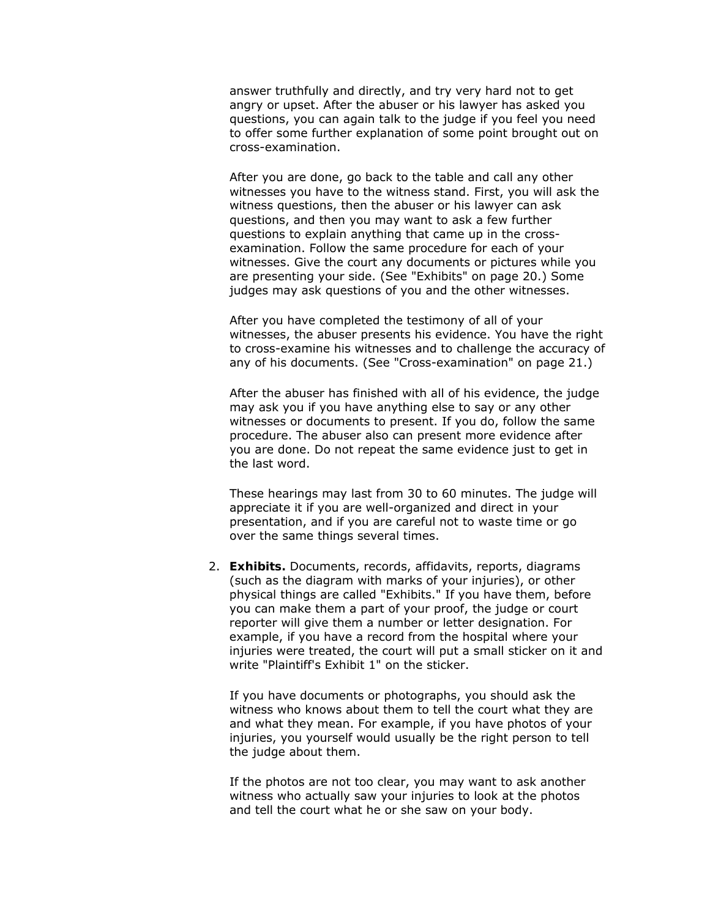answer truthfully and directly, and try very hard not to get angry or upset. After the abuser or his lawyer has asked you questions, you can again talk to the judge if you feel you need to offer some further explanation of some point brought out on cross-examination.

After you are done, go back to the table and call any other witnesses you have to the witness stand. First, you will ask the witness questions, then the abuser or his lawyer can ask questions, and then you may want to ask a few further questions to explain anything that came up in the crossexamination. Follow the same procedure for each of your witnesses. Give the court any documents or pictures while you are presenting your side. (See "Exhibits" on page 20.) Some judges may ask questions of you and the other witnesses.

After you have completed the testimony of all of your witnesses, the abuser presents his evidence. You have the right to cross-examine his witnesses and to challenge the accuracy of any of his documents. (See "Cross-examination" on page 21.)

After the abuser has finished with all of his evidence, the judge may ask you if you have anything else to say or any other witnesses or documents to present. If you do, follow the same procedure. The abuser also can present more evidence after you are done. Do not repeat the same evidence just to get in the last word.

These hearings may last from 30 to 60 minutes. The judge will appreciate it if you are well-organized and direct in your presentation, and if you are careful not to waste time or go over the same things several times.

2. **Exhibits.** Documents, records, affidavits, reports, diagrams (such as the diagram with marks of your injuries), or other physical things are called "Exhibits." If you have them, before you can make them a part of your proof, the judge or court reporter will give them a number or letter designation. For example, if you have a record from the hospital where your injuries were treated, the court will put a small sticker on it and write "Plaintiff's Exhibit 1" on the sticker.

If you have documents or photographs, you should ask the witness who knows about them to tell the court what they are and what they mean. For example, if you have photos of your injuries, you yourself would usually be the right person to tell the judge about them.

If the photos are not too clear, you may want to ask another witness who actually saw your injuries to look at the photos and tell the court what he or she saw on your body.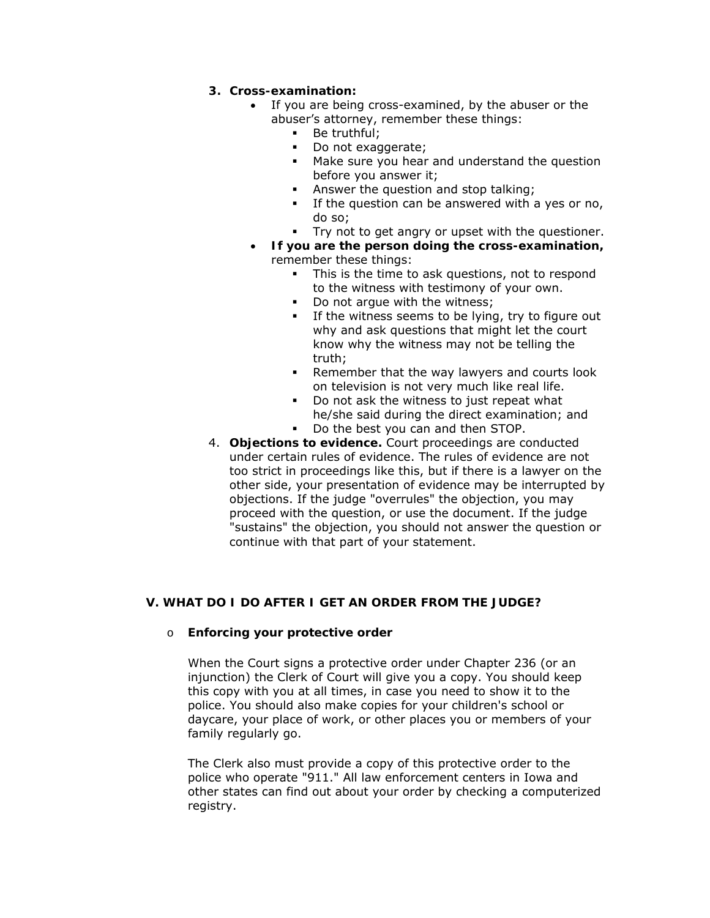## **3. Cross-examination:**

- If you are being cross-examined, by the abuser or the abuser's attorney, remember these things:
	- **Be truthful;**
	- Do not exaggerate;
	- **Make sure you hear and understand the question** before you answer it;
	- **Answer the question and stop talking;**
	- If the question can be answered with a yes or no, do so;
	- Try not to get angry or upset with the questioner.
- **If you are the person doing the cross-examination,** remember these things:
	- This is the time to ask questions, not to respond to the witness with testimony of your own.
	- Do *not arque* with the witness;
	- **If the witness seems to be lying, try to figure out** why and ask questions that might let the court know why the witness may not be telling the truth;
	- **Remember that the way lawyers and courts look** on television is not very much like real life.
	- Do not ask the witness to just repeat what he/she said during the direct examination; and
	- Do the best you can and then STOP.
- 4. **Objections to evidence.** Court proceedings are conducted under certain rules of evidence. The rules of evidence are not too strict in proceedings like this, but if there is a lawyer on the other side, your presentation of evidence may be interrupted by objections. If the judge "overrules" the objection, you may proceed with the question, or use the document. If the judge "sustains" the objection, you should not answer the question or continue with that part of your statement.

## **V. WHAT DO I DO AFTER I GET AN ORDER FROM THE JUDGE?**

#### o **Enforcing your protective order**

When the Court signs a protective order under Chapter 236 (or an injunction) the Clerk of Court will give you a copy. You should keep this copy with you at all times, in case you need to show it to the police. You should also make copies for your children's school or daycare, your place of work, or other places you or members of your family regularly go.

The Clerk also must provide a copy of this protective order to the police who operate "911." All law enforcement centers in Iowa and other states can find out about your order by checking a computerized registry.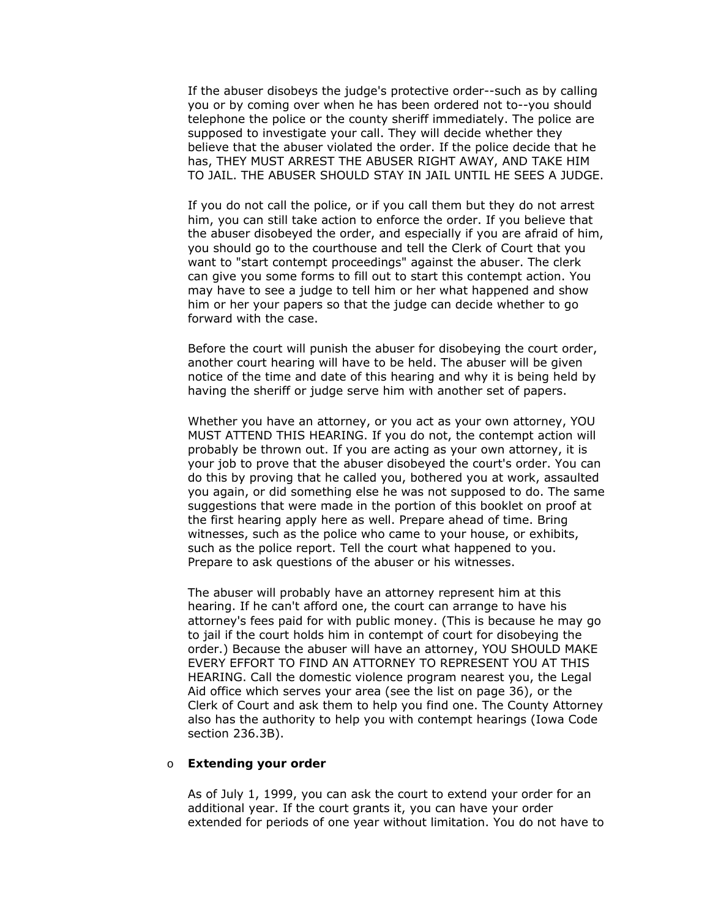If the abuser disobeys the judge's protective order--such as by calling you or by coming over when he has been ordered not to--you should telephone the police or the county sheriff immediately. The police are supposed to investigate your call. They will decide whether they believe that the abuser violated the order. If the police decide that he has, THEY MUST ARREST THE ABUSER RIGHT AWAY, AND TAKE HIM TO JAIL. THE ABUSER SHOULD STAY IN JAIL UNTIL HE SEES A JUDGE.

If you do not call the police, or if you call them but they do not arrest him, you can still take action to enforce the order. If you believe that the abuser disobeyed the order, and especially if you are afraid of him, you should go to the courthouse and tell the Clerk of Court that you want to "start contempt proceedings" against the abuser. The clerk can give you some forms to fill out to start this contempt action. You may have to see a judge to tell him or her what happened and show him or her your papers so that the judge can decide whether to go forward with the case.

Before the court will punish the abuser for disobeying the court order, another court hearing will have to be held. The abuser will be given notice of the time and date of this hearing and why it is being held by having the sheriff or judge serve him with another set of papers.

Whether you have an attorney, or you act as your own attorney, YOU MUST ATTEND THIS HEARING. If you do not, the contempt action will probably be thrown out. If you are acting as your own attorney, it is your job to prove that the abuser disobeyed the court's order. You can do this by proving that he called you, bothered you at work, assaulted you again, or did something else he was not supposed to do. The same suggestions that were made in the portion of this booklet on proof at the first hearing apply here as well. Prepare ahead of time. Bring witnesses, such as the police who came to your house, or exhibits, such as the police report. Tell the court what happened to you. Prepare to ask questions of the abuser or his witnesses.

The abuser will probably have an attorney represent him at this hearing. If he can't afford one, the court can arrange to have his attorney's fees paid for with public money. (This is because he may go to jail if the court holds him in contempt of court for disobeying the order.) Because the abuser will have an attorney, YOU SHOULD MAKE EVERY EFFORT TO FIND AN ATTORNEY TO REPRESENT YOU AT THIS HEARING. Call the domestic violence program nearest you, the Legal Aid office which serves your area (see the list on page 36), or the Clerk of Court and ask them to help you find one. The County Attorney also has the authority to help you with contempt hearings (Iowa Code section 236.3B).

#### o **Extending your order**

As of July 1, 1999, you can ask the court to extend your order for an additional year. If the court grants it, you can have your order extended for periods of one year without limitation. You do not have to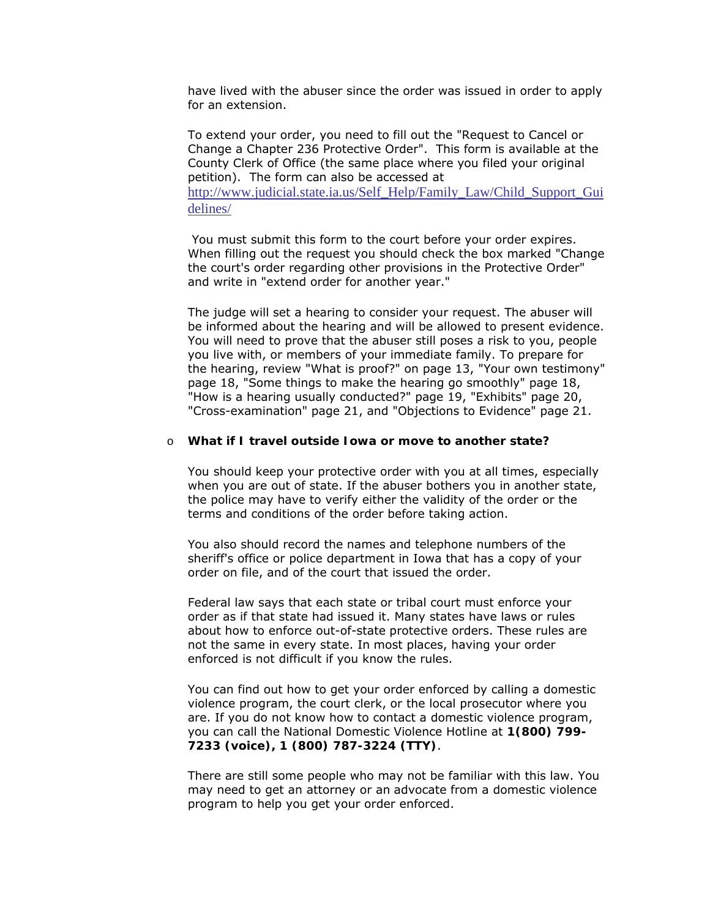have lived with the abuser since the order was issued in order to apply for an extension.

To extend your order, you need to fill out the "Request to Cancel or Change a Chapter 236 Protective Order". This form is available at the County Clerk of Office (the same place where you filed your original petition). The form can also be accessed at [http://www.judicial.state.ia.us/Self\\_Help/Family\\_Law/Child\\_Support\\_Gui](http://www.judicial.state.ia.us/Self_Help/Family_Law/Child_Support_Guidelines/)

[delines/](http://www.judicial.state.ia.us/Self_Help/Family_Law/Child_Support_Guidelines/)

 You must submit this form to the court before your order expires. When filling out the request you should check the box marked "Change the court's order regarding other provisions in the Protective Order" and write in "extend order for another year."

The judge will set a hearing to consider your request. The abuser will be informed about the hearing and will be allowed to present evidence. You will need to prove that the abuser still poses a risk to you, people you live with, or members of your immediate family. To prepare for the hearing, review "What is proof?" on page 13, "Your own testimony" page 18, "Some things to make the hearing go smoothly" page 18, "How is a hearing usually conducted?" page 19, "Exhibits" page 20, "Cross-examination" page 21, and "Objections to Evidence" page 21.

#### o **What if I travel outside Iowa or move to another state?**

You should keep your protective order with you at all times, especially when you are out of state. If the abuser bothers you in another state, the police may have to verify either the validity of the order or the terms and conditions of the order before taking action.

You also should record the names and telephone numbers of the sheriff's office or police department in Iowa that has a copy of your order on file, and of the court that issued the order.

Federal law says that each state or tribal court must enforce your order as if that state had issued it. Many states have laws or rules about how to enforce out-of-state protective orders. These rules are not the same in every state. In most places, having your order enforced is not difficult if you know the rules.

You can find out how to get your order enforced by calling a domestic violence program, the court clerk, or the local prosecutor where you are. If you do not know how to contact a domestic violence program, you can call the National Domestic Violence Hotline at **1(800) 799- 7233 (voice), 1 (800) 787-3224 (TTY)**.

There are still some people who may not be familiar with this law. You may need to get an attorney or an advocate from a domestic violence program to help you get your order enforced.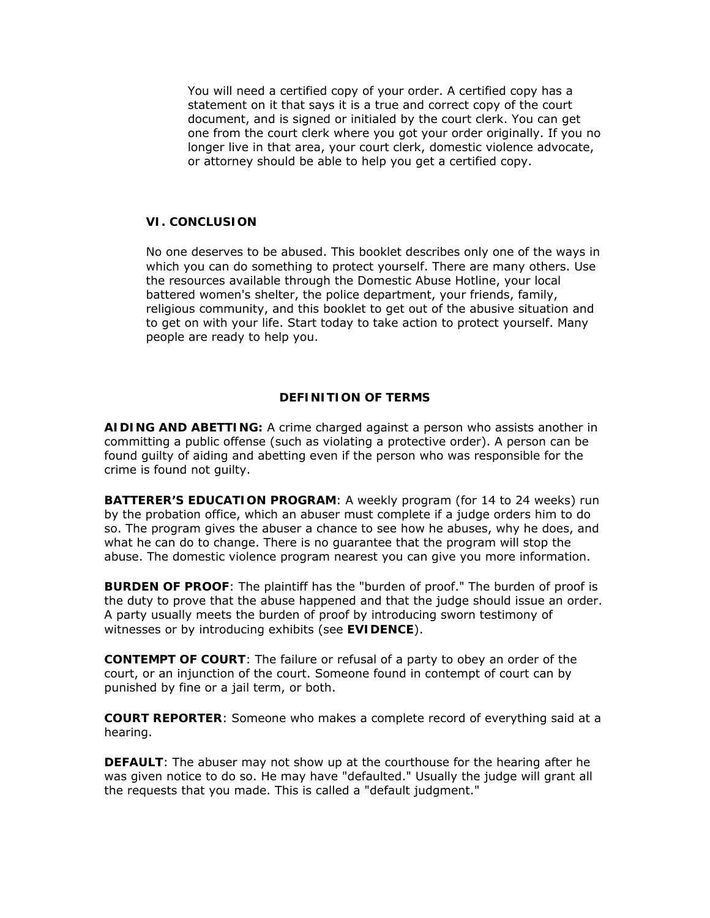You will need a certified copy of your order. A certified copy has a statement on it that says it is a true and correct copy of the court document, and is signed or initialed by the court clerk. You can get one from the court clerk where you got your order originally. If you no longer live in that area, your court clerk, domestic violence advocate, or attorney should be able to help you get a certified copy.

#### **VI. CONCLUSION**

No one deserves to be abused. This booklet describes only one of the ways in which you can do something to protect yourself. There are many others. Use the resources available through the Domestic Abuse Hotline, your local battered women's shelter, the police department, your friends, family, religious community, and this booklet to get out of the abusive situation and to get on with your life. Start today to take action to protect yourself. Many people are ready to help you.

## **DEFINITION OF TERMS**

**AIDING AND ABETTING:** A crime charged against a person who assists another in committing a public offense (such as violating a protective order). A person can be found guilty of aiding and abetting even if the person who was responsible for the crime is found not guilty.

**BATTERER'S EDUCATION PROGRAM**: A weekly program (for 14 to 24 weeks) run by the probation office, which an abuser must complete if a judge orders him to do so. The program gives the abuser a chance to see how he abuses, why he does, and what he can do to change. There is no guarantee that the program will stop the abuse. The domestic violence program nearest you can give you more information.

**BURDEN OF PROOF**: The plaintiff has the "burden of proof." The burden of proof is the duty to prove that the abuse happened and that the judge should issue an order. A party usually meets the burden of proof by introducing sworn testimony of witnesses or by introducing exhibits (see **EVIDENCE**).

**CONTEMPT OF COURT**: The failure or refusal of a party to obey an order of the court, or an injunction of the court. Someone found in contempt of court can by punished by fine or a jail term, or both.

**COURT REPORTER**: Someone who makes a complete record of everything said at a hearing.

**DEFAULT**: The abuser may not show up at the courthouse for the hearing after he was given notice to do so. He may have "defaulted." Usually the judge will grant all the requests that you made. This is called a "default judgment."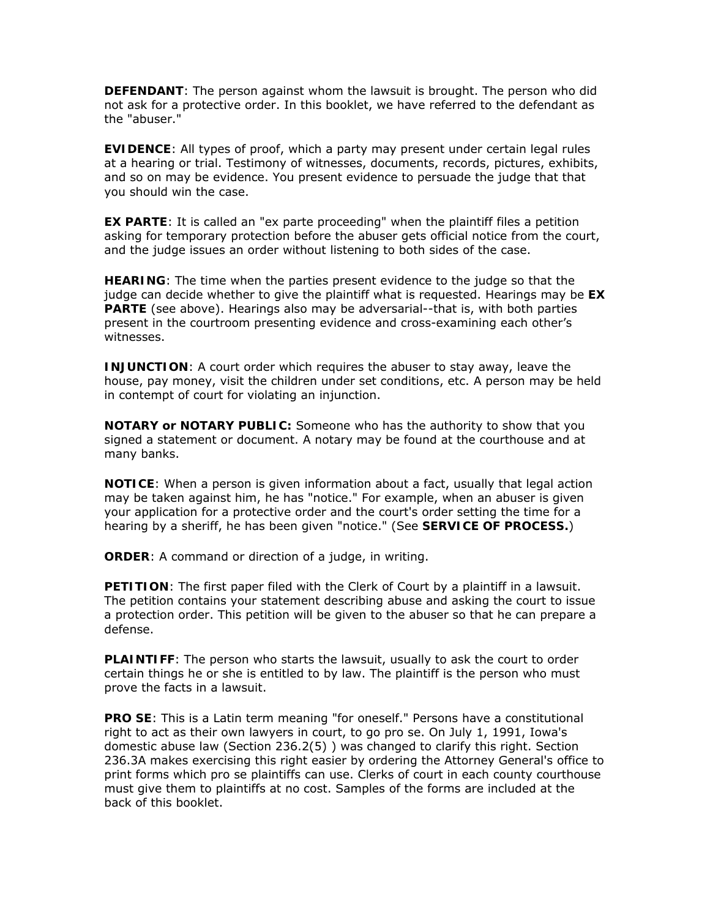**DEFENDANT**: The person against whom the lawsuit is brought. The person who did not ask for a protective order. In this booklet, we have referred to the defendant as the "abuser."

**EVIDENCE**: All types of proof, which a party may present under certain legal rules at a hearing or trial. Testimony of witnesses, documents, records, pictures, exhibits, and so on may be evidence. You present evidence to persuade the judge that that you should win the case.

**EX PARTE**: It is called an "ex parte proceeding" when the plaintiff files a petition asking for temporary protection before the abuser gets official notice from the court, and the judge issues an order without listening to both sides of the case.

**HEARING**: The time when the parties present evidence to the judge so that the judge can decide whether to give the plaintiff what is requested. Hearings may be **EX PARTE** (see above). Hearings also may be adversarial--that is, with both parties present in the courtroom presenting evidence and cross-examining each other's witnesses.

**INJUNCTION:** A court order which requires the abuser to stay away, leave the house, pay money, visit the children under set conditions, etc. A person may be held in contempt of court for violating an injunction.

**NOTARY or NOTARY PUBLIC:** Someone who has the authority to show that you signed a statement or document. A notary may be found at the courthouse and at many banks.

**NOTICE**: When a person is given information about a fact, usually that legal action may be taken against him, he has "notice." For example, when an abuser is given your application for a protective order and the court's order setting the time for a hearing by a sheriff, he has been given "notice." (See **SERVICE OF PROCESS.**)

**ORDER**: A command or direction of a judge, in writing.

**PETITION**: The first paper filed with the Clerk of Court by a plaintiff in a lawsuit. The petition contains your statement describing abuse and asking the court to issue a protection order. This petition will be given to the abuser so that he can prepare a defense.

**PLAINTIFF**: The person who starts the lawsuit, usually to ask the court to order certain things he or she is entitled to by law. The plaintiff is the person who must prove the facts in a lawsuit.

**PRO SE**: This is a Latin term meaning "for oneself." Persons have a constitutional right to act as their own lawyers in court, to go pro se. On July 1, 1991, Iowa's domestic abuse law (Section 236.2(5) ) was changed to clarify this right. Section 236.3A makes exercising this right easier by ordering the Attorney General's office to print forms which pro se plaintiffs can use. Clerks of court in each county courthouse must give them to plaintiffs at no cost. Samples of the forms are included at the back of this booklet.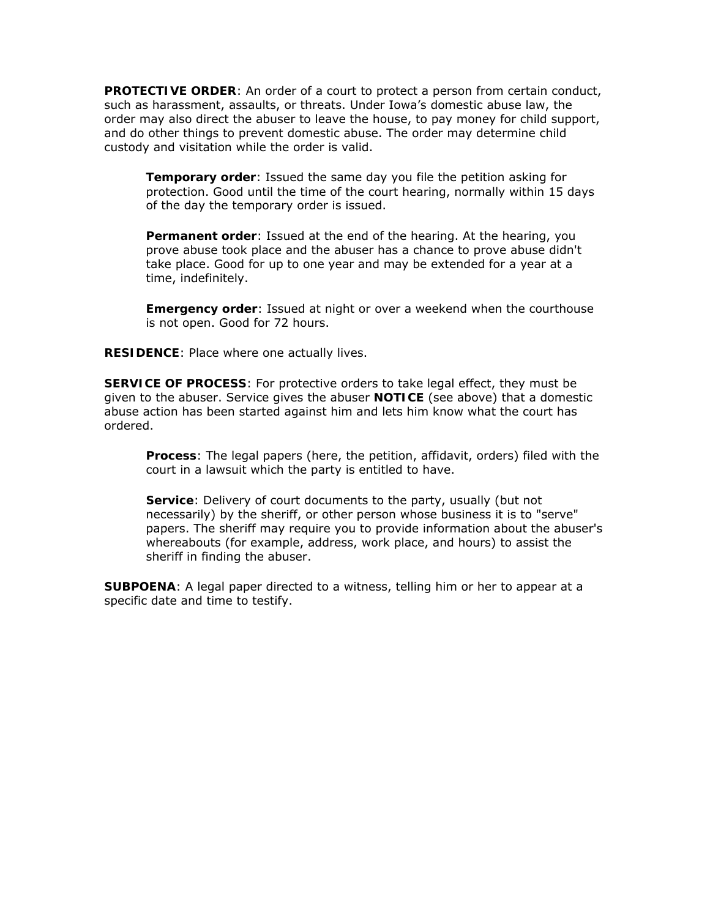**PROTECTIVE ORDER**: An order of a court to protect a person from certain conduct, such as harassment, assaults, or threats. Under Iowa's domestic abuse law, the order may also direct the abuser to leave the house, to pay money for child support, and do other things to prevent domestic abuse. The order may determine child custody and visitation while the order is valid.

**Temporary order**: Issued the same day you file the petition asking for protection. Good until the time of the court hearing, normally within 15 days of the day the temporary order is issued.

**Permanent order**: Issued at the end of the hearing. At the hearing, you prove abuse took place and the abuser has a chance to prove abuse didn't take place. Good for up to one year and may be extended for a year at a time, indefinitely.

**Emergency order**: Issued at night or over a weekend when the courthouse is not open. Good for 72 hours.

**RESIDENCE**: Place where one actually lives.

**SERVICE OF PROCESS**: For protective orders to take legal effect, they must be given to the abuser. Service gives the abuser **NOTICE** (see above) that a domestic abuse action has been started against him and lets him know what the court has ordered.

**Process**: The legal papers (here, the petition, affidavit, orders) filed with the court in a lawsuit which the party is entitled to have.

**Service**: Delivery of court documents to the party, usually (but not necessarily) by the sheriff, or other person whose business it is to "serve" papers. The sheriff may require you to provide information about the abuser's whereabouts (for example, address, work place, and hours) to assist the sheriff in finding the abuser.

**SUBPOENA**: A legal paper directed to a witness, telling him or her to appear at a specific date and time to testify.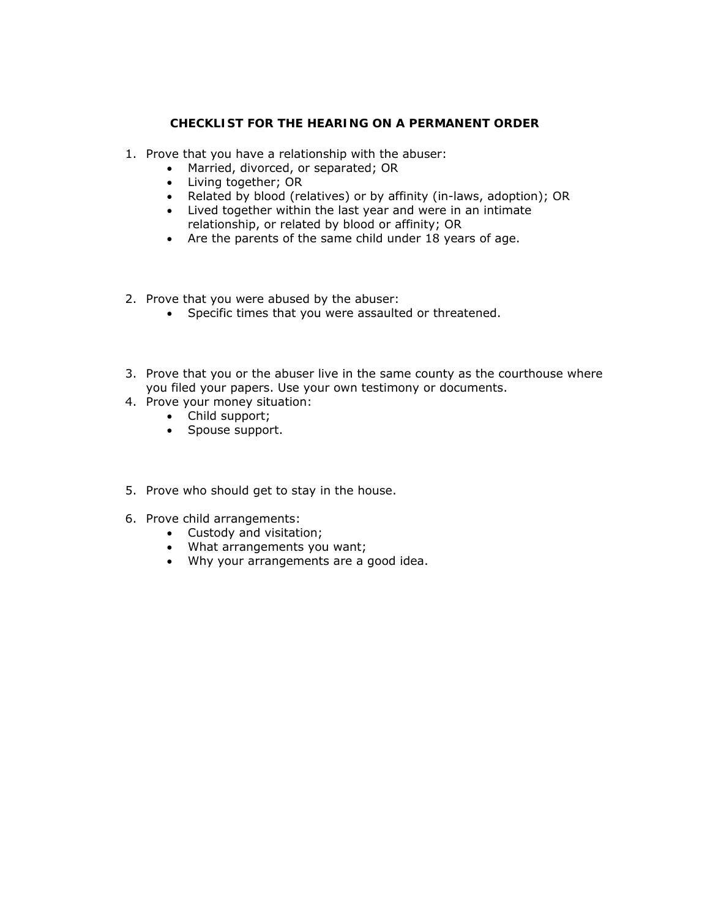## **CHECKLIST FOR THE HEARING ON A PERMANENT ORDER**

- 1. Prove that you have a relationship with the abuser:
	- Married, divorced, or separated; OR
	- Living together; OR
	- Related by blood (relatives) or by affinity (in-laws, adoption); OR
	- Lived together within the last year and were in an intimate relationship, or related by blood or affinity; OR
	- Are the parents of the same child under 18 years of age.
- 2. Prove that you were abused by the abuser:
	- Specific times that you were assaulted or threatened.
- 3. Prove that you or the abuser live in the same county as the courthouse where you filed your papers. Use your own testimony or documents.
- 4. Prove your money situation:
	- Child support;
	- Spouse support.
- 5. Prove who should get to stay in the house.
- 6. Prove child arrangements:
	- Custody and visitation;
	- What arrangements you want;
	- Why your arrangements are a good idea.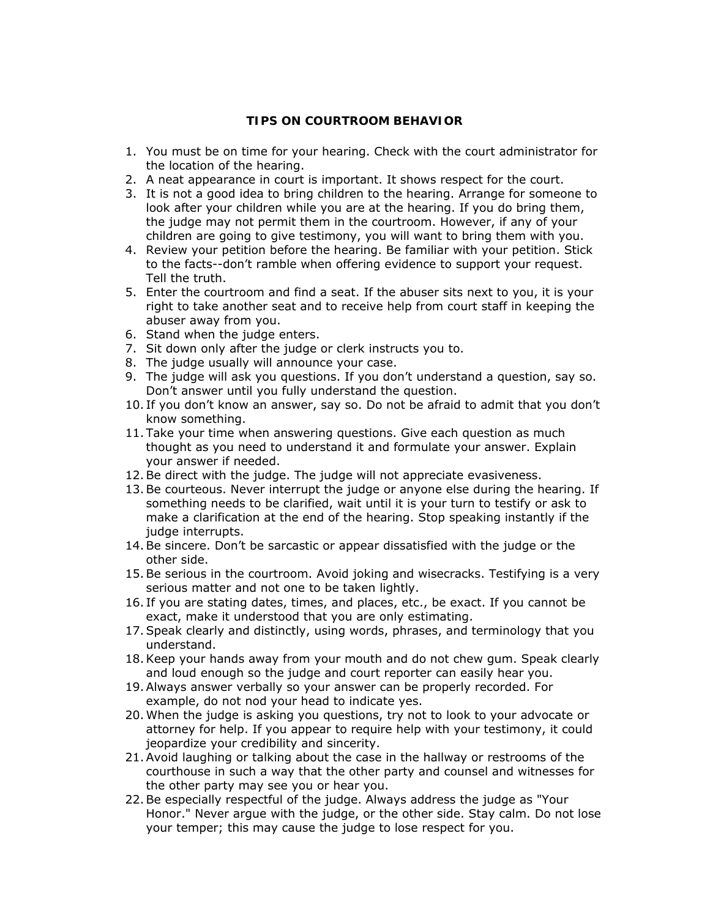## **TIPS ON COURTROOM BEHAVIOR**

- 1. You must be on time for your hearing. Check with the court administrator for the location of the hearing.
- 2. A neat appearance in court is important. It shows respect for the court.
- 3. It is not a good idea to bring children to the hearing. Arrange for someone to look after your children while you are at the hearing. If you do bring them, the judge may not permit them in the courtroom. However, if any of your children are going to give testimony, you will want to bring them with you.
- 4. Review your petition before the hearing. Be familiar with your petition. Stick to the facts--don't ramble when offering evidence to support your request. Tell the truth.
- 5. Enter the courtroom and find a seat. If the abuser sits next to you, it is your right to take another seat and to receive help from court staff in keeping the abuser away from you.
- 6. Stand when the judge enters.
- 7. Sit down only after the judge or clerk instructs you to.
- 8. The judge usually will announce your case.
- 9. The judge will ask you questions. If you don't understand a question, say so. Don't answer until you fully understand the question.
- 10. If you don't know an answer, say so. Do not be afraid to admit that you don't know something.
- 11. Take your time when answering questions. Give each question as much thought as you need to understand it and formulate your answer. Explain your answer if needed.
- 12.Be direct with the judge. The judge will not appreciate evasiveness.
- 13.Be courteous. Never interrupt the judge or anyone else during the hearing. If something needs to be clarified, wait until it is your turn to testify or ask to make a clarification at the end of the hearing. Stop speaking instantly if the judge interrupts.
- 14.Be sincere. Don't be sarcastic or appear dissatisfied with the judge or the other side.
- 15.Be serious in the courtroom. Avoid joking and wisecracks. Testifying is a very serious matter and not one to be taken lightly.
- 16. If you are stating dates, times, and places, etc., be exact. If you cannot be exact, make it understood that you are only estimating.
- 17.Speak clearly and distinctly, using words, phrases, and terminology that you understand.
- 18.Keep your hands away from your mouth and do not chew gum. Speak clearly and loud enough so the judge and court reporter can easily hear you.
- 19.Always answer verbally so your answer can be properly recorded. For example, do not nod your head to indicate yes.
- 20.When the judge is asking you questions, try not to look to your advocate or attorney for help. If you appear to require help with your testimony, it could jeopardize your credibility and sincerity.
- 21.Avoid laughing or talking about the case in the hallway or restrooms of the courthouse in such a way that the other party and counsel and witnesses for the other party may see you or hear you.
- 22.Be especially respectful of the judge. Always address the judge as "Your Honor." Never argue with the judge, or the other side. Stay calm. Do not lose your temper; this may cause the judge to lose respect for you.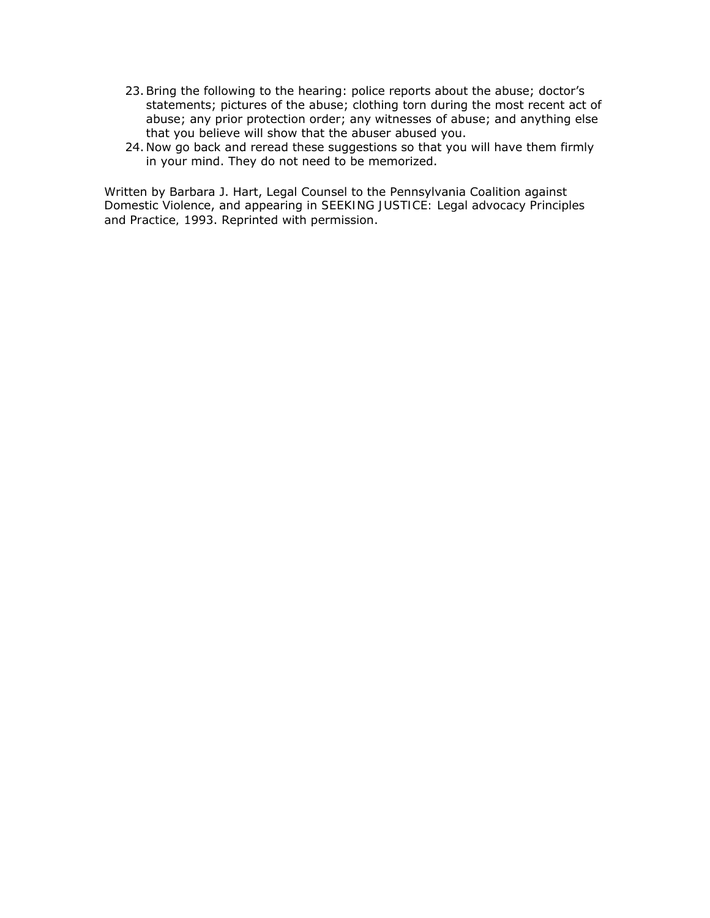- 23.Bring the following to the hearing: police reports about the abuse; doctor's statements; pictures of the abuse; clothing torn during the most recent act of abuse; any prior protection order; any witnesses of abuse; and anything else that you believe will show that the abuser abused you.
- 24. Now go back and reread these suggestions so that you will have them firmly in your mind. They do not need to be memorized.

Written by Barbara J. Hart, Legal Counsel to the Pennsylvania Coalition against Domestic Violence, and appearing in *SEEKING JUSTICE: Legal advocacy Principles and Practice,* 1993. Reprinted with permission.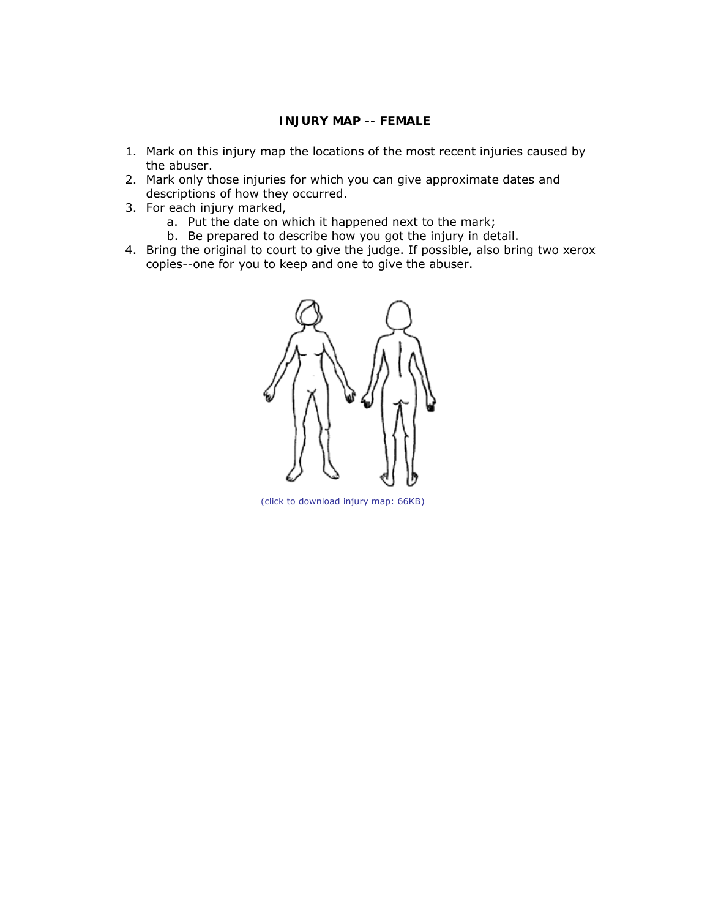## **INJURY MAP -- FEMALE**

- 1. Mark on this injury map the locations of the most recent injuries caused by the abuser.
- 2. Mark only those injuries for which you can give *approximate* dates and descriptions of how they occurred.
- 3. For each injury marked,
	- a. Put the date on which it happened next to the mark;
	- b. Be prepared to describe how you got the injury in detail.
- 4. Bring the original to court to give the judge. If possible, also bring two xerox copies--one for you to keep and one to give the abuser.



[\(click to download injury map: 66KB\)](http://www.judicial.state.ia.us/families/domviol/female.pdf)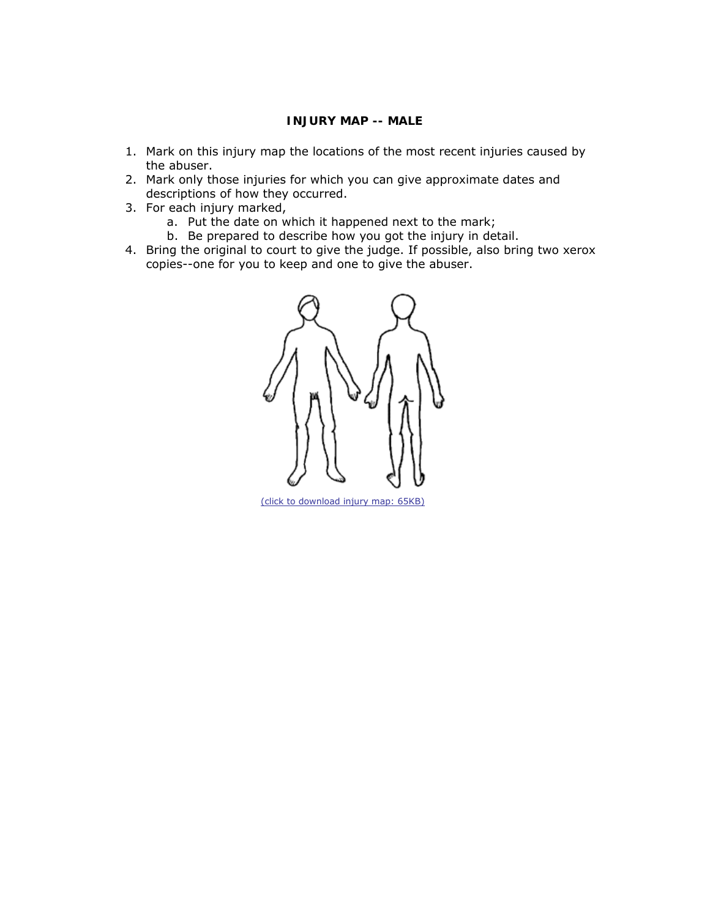## **INJURY MAP -- MALE**

- 1. Mark on this injury map the locations of the most recent injuries caused by the abuser.
- 2. Mark only those injuries for which you can give *approximate* dates and descriptions of how they occurred.
- 3. For each injury marked,
	- a. Put the date on which it happened next to the mark;
	- b. Be prepared to describe how you got the injury in detail.
- 4. Bring the original to court to give the judge. If possible, also bring two xerox copies--one for you to keep and one to give the abuser.



[\(click to download injury map: 65KB\)](http://www.judicial.state.ia.us/families/domviol/male.pdf)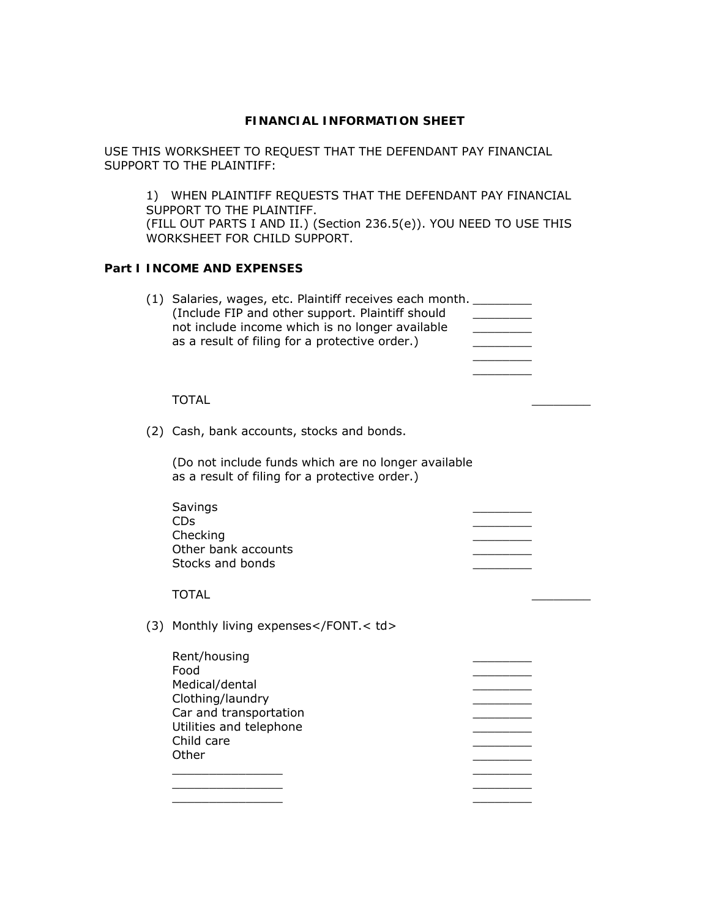USE THIS WORKSHEET TO REQUEST THAT THE DEFENDANT PAY FINANCIAL SUPPORT TO THE PLAINTIFF:

1) WHEN PLAINTIFF REQUESTS THAT THE DEFENDANT PAY FINANCIAL SUPPORT TO THE PLAINTIFF. (FILL OUT PARTS I AND II.) (Section 236.5(e)). YOU NEED TO USE THIS WORKSHEET FOR CHILD SUPPORT.

# **Part I INCOME AND EXPENSES**

| (1) Salaries, wages, etc. Plaintiff receives each month.<br>(Include FIP and other support. Plaintiff should<br>not include income which is no longer available<br>as a result of filing for a protective order.)                |  |
|----------------------------------------------------------------------------------------------------------------------------------------------------------------------------------------------------------------------------------|--|
| TOTAL                                                                                                                                                                                                                            |  |
| (2) Cash, bank accounts, stocks and bonds.                                                                                                                                                                                       |  |
| $\sqrt{2}$ . The state of the state of the state of the state of the state of the state of the state of the state of the state of the state of the state of the state of the state of the state of the state of the state of the |  |

(Do not include funds which are no longer available as a result of filing for a protective order.)

| Savings               |  |
|-----------------------|--|
| <b>CD<sub>S</sub></b> |  |
| Checking              |  |
| Other bank accounts   |  |
| Stocks and bonds      |  |
|                       |  |

#### TOTAL \_\_\_\_\_\_\_\_

(3) Monthly living expenses</FONT.< td>

| Rent/housing<br>Food    |  |
|-------------------------|--|
| Medical/dental          |  |
| Clothing/laundry        |  |
| Car and transportation  |  |
| Utilities and telephone |  |
| Child care              |  |
| Other                   |  |
|                         |  |
|                         |  |

 $\mathcal{L}=\mathcal{L}$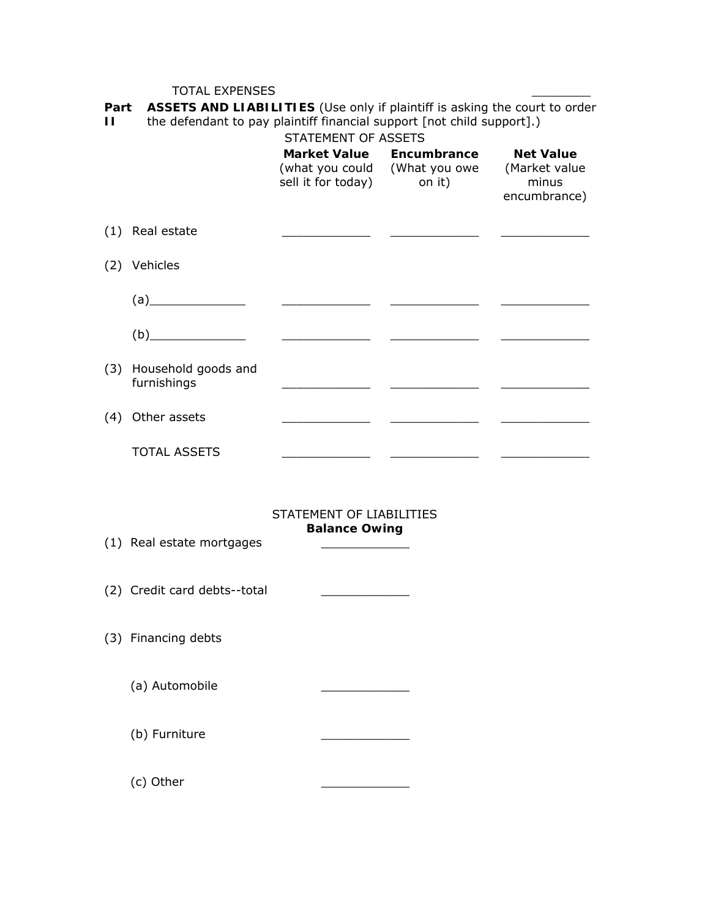# TOTAL EXPENSES

**Part II ASSETS AND LIABILITIES** (Use only if plaintiff is asking the court to order the defendant to pay plaintiff financial support [not child support].)

| the defendant to pay plantum milancial support [not crilid support]. |  |  |
|----------------------------------------------------------------------|--|--|
|                                                                      |  |  |

|                                                                                                                                                                                                                                                                                                                                                                      | STATEMENT OF ASSETS                                                                                                  |                                                           |                                                            |
|----------------------------------------------------------------------------------------------------------------------------------------------------------------------------------------------------------------------------------------------------------------------------------------------------------------------------------------------------------------------|----------------------------------------------------------------------------------------------------------------------|-----------------------------------------------------------|------------------------------------------------------------|
|                                                                                                                                                                                                                                                                                                                                                                      | sell it for today) on it)                                                                                            | Market Value Encumbrance<br>(what you could (What you owe | <b>Net Value</b><br>(Market value<br>minus<br>encumbrance) |
| (1) Real estate                                                                                                                                                                                                                                                                                                                                                      |                                                                                                                      |                                                           |                                                            |
| (2) Vehicles                                                                                                                                                                                                                                                                                                                                                         |                                                                                                                      |                                                           |                                                            |
| (a)                                                                                                                                                                                                                                                                                                                                                                  | <u> Alexandria de la contrada de la contrada de la contrada de la contrada de la contrada de la contrada de la c</u> |                                                           |                                                            |
| $\begin{picture}(5,0) \put(0,0) {\line(1,0){10}} \put(0,0) {\line(0,1){10}} \put(0,0) {\line(0,1){10}} \put(0,0) {\line(0,1){10}} \put(0,0) {\line(0,1){10}} \put(0,0) {\line(0,1){10}} \put(0,0) {\line(0,1){10}} \put(0,0) {\line(0,1){10}} \put(0,0) {\line(0,1){10}} \put(0,0) {\line(0,1){10}} \put(0,0) {\line(0,1){10}} \put(0,0) {\line(0,1){10}} \put(0,0)$ |                                                                                                                      |                                                           |                                                            |
| (3) Household goods and<br>furnishings                                                                                                                                                                                                                                                                                                                               | <u> 1989 - Albert Store, ameri</u> kansk kon                                                                         | <u> 1999 - Johann Stoff, fransk politik (</u>             |                                                            |
| (4) Other assets                                                                                                                                                                                                                                                                                                                                                     |                                                                                                                      | <u> 2000 - Andrea Andrew Maria (h. 1982).</u>             |                                                            |
| <b>TOTAL ASSETS</b>                                                                                                                                                                                                                                                                                                                                                  | <u> 1999 - Jan Jawa</u>                                                                                              |                                                           |                                                            |
| (1) Real estate mortgages                                                                                                                                                                                                                                                                                                                                            | STATEMENT OF LIABILITIES<br><b>Balance Owing</b>                                                                     |                                                           |                                                            |
| (2) Credit card debts--total                                                                                                                                                                                                                                                                                                                                         |                                                                                                                      |                                                           |                                                            |
| (3) Financing debts                                                                                                                                                                                                                                                                                                                                                  |                                                                                                                      |                                                           |                                                            |
| (a) Automobile                                                                                                                                                                                                                                                                                                                                                       |                                                                                                                      |                                                           |                                                            |
| (b) Furniture                                                                                                                                                                                                                                                                                                                                                        |                                                                                                                      |                                                           |                                                            |

(c) Other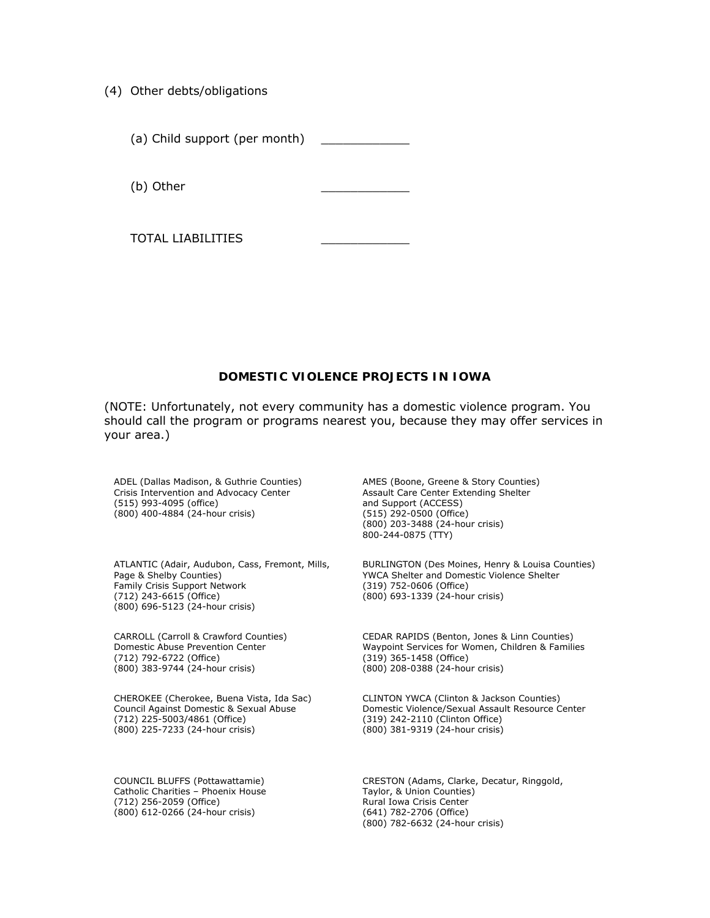- (4) Other debts/obligations
	- (a) Child support (per month)

(b) Other

TOTAL LIABILITIES \_\_\_\_\_\_\_\_\_\_\_\_

#### **DOMESTIC VIOLENCE PROJECTS IN IOWA**

(NOTE: Unfortunately, not every community has a domestic violence program. You should call the program or programs nearest you, because they may offer services in your area.)

ADEL (Dallas Madison, & Guthrie Counties) Crisis Intervention and Advocacy Center (515) 993-4095 (office) (800) 400-4884 (24-hour crisis)

ATLANTIC (Adair, Audubon, Cass, Fremont, Mills, Page & Shelby Counties) Family Crisis Support Network (712) 243-6615 (Office) (800) 696-5123 (24-hour crisis)

CARROLL (Carroll & Crawford Counties) Domestic Abuse Prevention Center (712) 792-6722 (Office) (800) 383-9744 (24-hour crisis)

CHEROKEE (Cherokee, Buena Vista, Ida Sac) Council Against Domestic & Sexual Abuse (712) 225-5003/4861 (Office) (800) 225-7233 (24-hour crisis)

COUNCIL BLUFFS (Pottawattamie) Catholic Charities – Phoenix House (712) 256-2059 (Office) (800) 612-0266 (24-hour crisis)

AMES (Boone, Greene & Story Counties) Assault Care Center Extending Shelter and Support (ACCESS) (515) 292-0500 (Office) (800) 203-3488 (24-hour crisis) 800-244-0875 (TTY)

BURLINGTON (Des Moines, Henry & Louisa Counties) YWCA Shelter and Domestic Violence Shelter (319) 752-0606 (Office) (800) 693-1339 (24-hour crisis)

CEDAR RAPIDS (Benton, Jones & Linn Counties) Waypoint Services for Women, Children & Families (319) 365-1458 (Office) (800) 208-0388 (24-hour crisis)

CLINTON YWCA (Clinton & Jackson Counties) Domestic Violence/Sexual Assault Resource Center (319) 242-2110 (Clinton Office) (800) 381-9319 (24-hour crisis)

CRESTON (Adams, Clarke, Decatur, Ringgold, Taylor, & Union Counties) Rural Iowa Crisis Center (641) 782-2706 (Office) (800) 782-6632 (24-hour crisis)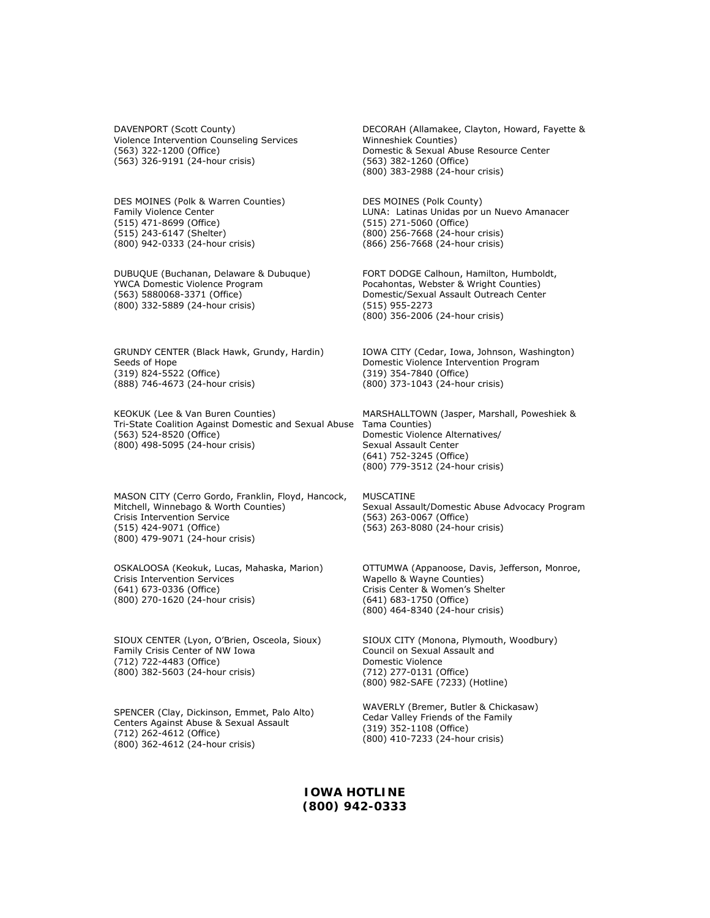DAVENPORT (Scott County) Violence Intervention Counseling Services (563) 322-1200 (Office) (563) 326-9191 (24-hour crisis)

DES MOINES (Polk & Warren Counties) Family Violence Center (515) 471-8699 (Office) (515) 243-6147 (Shelter) (800) 942-0333 (24-hour crisis)

DUBUQUE (Buchanan, Delaware & Dubuque) YWCA Domestic Violence Program (563) 5880068-3371 (Office) (800) 332-5889 (24-hour crisis)

GRUNDY CENTER (Black Hawk, Grundy, Hardin) Seeds of Hope (319) 824-5522 (Office) (888) 746-4673 (24-hour crisis)

KEOKUK (Lee & Van Buren Counties) Tri-State Coalition Against Domestic and Sexual Abuse Tama Counties) (563) 524-8520 (Office) (800) 498-5095 (24-hour crisis)

MASON CITY (Cerro Gordo, Franklin, Floyd, Hancock, Mitchell, Winnebago & Worth Counties) Crisis Intervention Service (515) 424-9071 (Office) (800) 479-9071 (24-hour crisis)

OSKALOOSA (Keokuk, Lucas, Mahaska, Marion) Crisis Intervention Services (641) 673-0336 (Office) (800) 270-1620 (24-hour crisis)

SIOUX CENTER (Lyon, O'Brien, Osceola, Sioux) Family Crisis Center of NW Iowa (712) 722-4483 (Office) (800) 382-5603 (24-hour crisis)

SPENCER (Clay, Dickinson, Emmet, Palo Alto) Centers Against Abuse & Sexual Assault (712) 262-4612 (Office) (800) 362-4612 (24-hour crisis)

DECORAH (Allamakee, Clayton, Howard, Fayette & Winneshiek Counties) Domestic & Sexual Abuse Resource Center (563) 382-1260 (Office) (800) 383-2988 (24-hour crisis)

DES MOINES (Polk County) LUNA: Latinas Unidas por un Nuevo Amanacer (515) 271-5060 (Office) (800) 256-7668 (24-hour crisis) (866) 256-7668 (24-hour crisis)

FORT DODGE Calhoun, Hamilton, Humboldt, Pocahontas, Webster & Wright Counties) Domestic/Sexual Assault Outreach Center (515) 955-2273 (800) 356-2006 (24-hour crisis)

IOWA CITY (Cedar, Iowa, Johnson, Washington) Domestic Violence Intervention Program (319) 354-7840 (Office) (800) 373-1043 (24-hour crisis)

MARSHALLTOWN (Jasper, Marshall, Poweshiek & Domestic Violence Alternatives/ Sexual Assault Center (641) 752-3245 (Office) (800) 779-3512 (24-hour crisis)

MUSCATINE Sexual Assault/Domestic Abuse Advocacy Program (563) 263-0067 (Office) (563) 263-8080 (24-hour crisis)

OTTUMWA (Appanoose, Davis, Jefferson, Monroe, Wapello & Wayne Counties) Crisis Center & Women's Shelter (641) 683-1750 (Office) (800) 464-8340 (24-hour crisis)

SIOUX CITY (Monona, Plymouth, Woodbury) Council on Sexual Assault and Domestic Violence (712) 277-0131 (Office) (800) 982-SAFE (7233) (Hotline)

WAVERLY (Bremer, Butler & Chickasaw) Cedar Valley Friends of the Family (319) 352-1108 (Office) (800) 410-7233 (24-hour crisis)

**IOWA HOTLINE (800) 942-0333**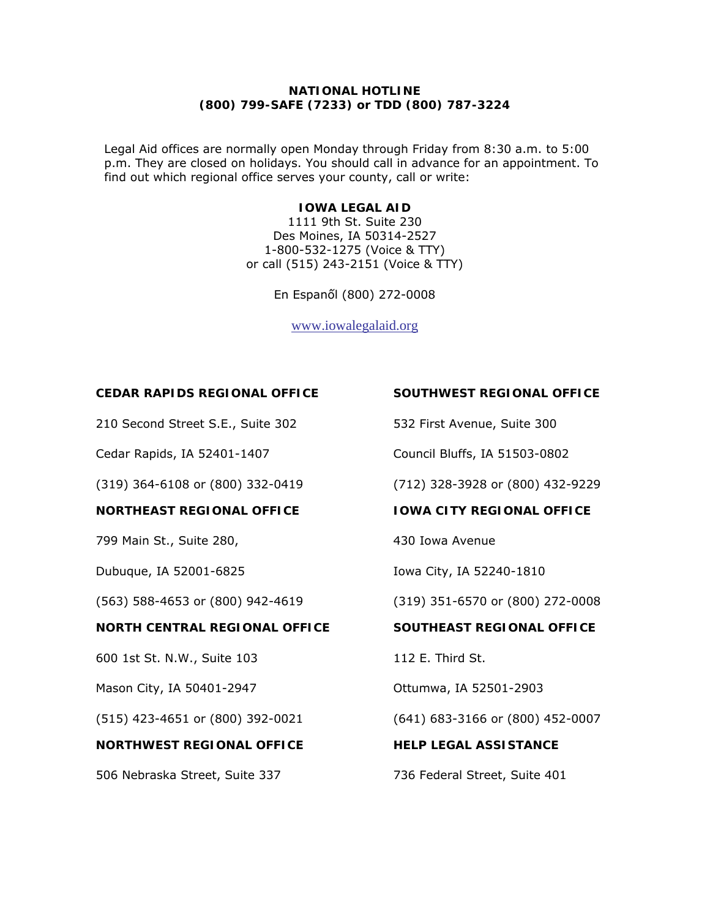## **NATIONAL HOTLINE (800) 799-SAFE (7233) or TDD (800) 787-3224**

Legal Aid offices are normally open Monday through Friday from 8:30 a.m. to 5:00 p.m. They are closed on holidays. You should call in advance for an appointment. To find out which regional office serves your county, call or write:

#### **IOWA LEGAL AID**

1111 9th St. Suite 230 Des Moines, IA 50314-2527 1-800-532-1275 (Voice & TTY) or call (515) 243-2151 (Voice & TTY)

En Espanốl (800) 272-0008

[www.iowalegalaid.org](http://www.iowalegalaid.org/)

#### **CEDAR RAPIDS REGIONAL OFFICE**

210 Second Street S.E., Suite 302

Cedar Rapids, IA 52401-1407

(319) 364-6108 or (800) 332-0419

#### **NORTHEAST REGIONAL OFFICE**

799 Main St., Suite 280,

Dubuque, IA 52001-6825

(563) 588-4653 or (800) 942-4619

#### **NORTH CENTRAL REGIONAL OFFICE**

600 1st St. N.W., Suite 103

Mason City, IA 50401-2947

(515) 423-4651 or (800) 392-0021

## **NORTHWEST REGIONAL OFFICE**

506 Nebraska Street, Suite 337

#### **SOUTHWEST REGIONAL OFFICE**

532 First Avenue, Suite 300

Council Bluffs, IA 51503-0802

(712) 328-3928 or (800) 432-9229

**IOWA CITY REGIONAL OFFICE** 

430 Iowa Avenue

Iowa City, IA 52240-1810

(319) 351-6570 or (800) 272-0008

#### **SOUTHEAST REGIONAL OFFICE**

112 E. Third St.

Ottumwa, IA 52501-2903

(641) 683-3166 or (800) 452-0007

**HELP LEGAL ASSISTANCE** 

736 Federal Street, Suite 401